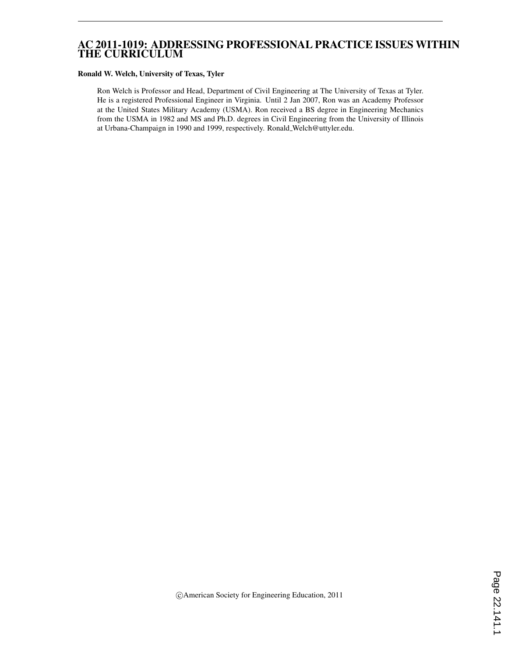#### AC 2011-1019: ADDRESSING PROFESSIONAL PRACTICE ISSUES WITHIN THE CURRICULUM

#### Ronald W. Welch, University of Texas, Tyler

Ron Welch is Professor and Head, Department of Civil Engineering at The University of Texas at Tyler. He is a registered Professional Engineer in Virginia. Until 2 Jan 2007, Ron was an Academy Professor at the United States Military Academy (USMA). Ron received a BS degree in Engineering Mechanics from the USMA in 1982 and MS and Ph.D. degrees in Civil Engineering from the University of Illinois at Urbana-Champaign in 1990 and 1999, respectively. Ronald Welch@uttyler.edu.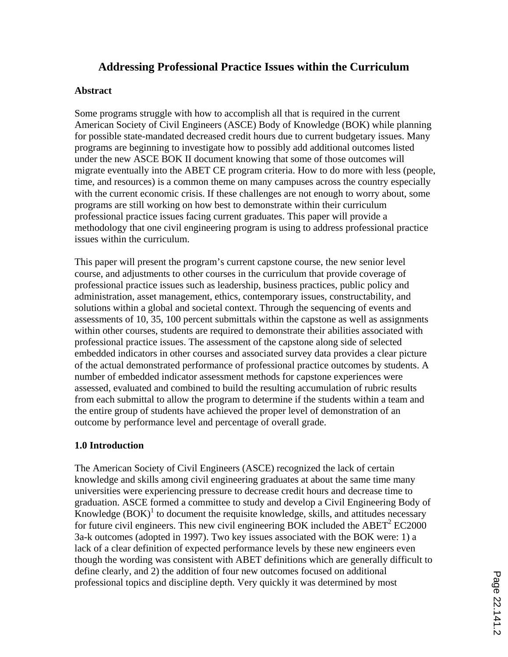# **Addressing Professional Practice Issues within the Curriculum**

#### **Abstract**

Some programs struggle with how to accomplish all that is required in the current American Society of Civil Engineers (ASCE) Body of Knowledge (BOK) while planning for possible state-mandated decreased credit hours due to current budgetary issues. Many programs are beginning to investigate how to possibly add additional outcomes listed under the new ASCE BOK II document knowing that some of those outcomes will migrate eventually into the ABET CE program criteria. How to do more with less (people, time, and resources) is a common theme on many campuses across the country especially with the current economic crisis. If these challenges are not enough to worry about, some programs are still working on how best to demonstrate within their curriculum professional practice issues facing current graduates. This paper will provide a methodology that one civil engineering program is using to address professional practice issues within the curriculum.

This paper will present the program's current capstone course, the new senior level course, and adjustments to other courses in the curriculum that provide coverage of professional practice issues such as leadership, business practices, public policy and administration, asset management, ethics, contemporary issues, constructability, and solutions within a global and societal context. Through the sequencing of events and assessments of 10, 35, 100 percent submittals within the capstone as well as assignments within other courses, students are required to demonstrate their abilities associated with professional practice issues. The assessment of the capstone along side of selected embedded indicators in other courses and associated survey data provides a clear picture of the actual demonstrated performance of professional practice outcomes by students. A number of embedded indicator assessment methods for capstone experiences were assessed, evaluated and combined to build the resulting accumulation of rubric results from each submittal to allow the program to determine if the students within a team and the entire group of students have achieved the proper level of demonstration of an outcome by performance level and percentage of overall grade.

# **1.0 Introduction**

The American Society of Civil Engineers (ASCE) recognized the lack of certain knowledge and skills among civil engineering graduates at about the same time many universities were experiencing pressure to decrease credit hours and decrease time to graduation. ASCE formed a committee to study and develop a Civil Engineering Body of Knowledge  $(BOK)^1$  to document the requisite knowledge, skills, and attitudes necessary for future civil engineers. This new civil engineering BOK included the  $ABET<sup>2</sup> EC2000$ 3a-k outcomes (adopted in 1997). Two key issues associated with the BOK were: 1) a lack of a clear definition of expected performance levels by these new engineers even though the wording was consistent with ABET definitions which are generally difficult to define clearly, and 2) the addition of four new outcomes focused on additional professional topics and discipline depth. Very quickly it was determined by most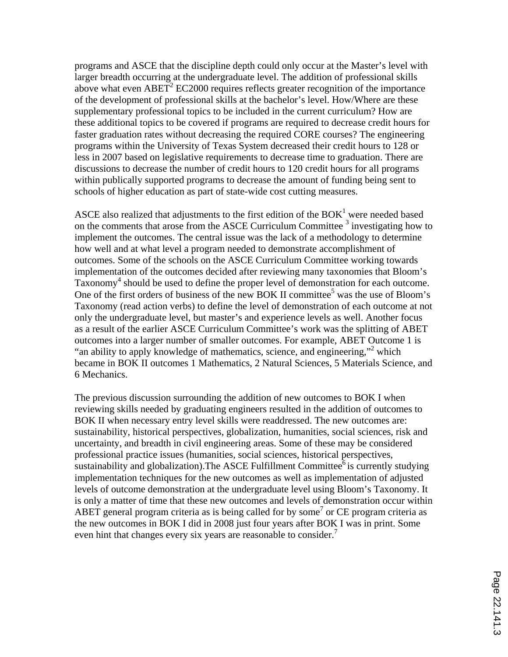programs and ASCE that the discipline depth could only occur at the Master's level with larger breadth occurring at the undergraduate level. The addition of professional skills above what even  $ABET^2$  EC2000 requires reflects greater recognition of the importance of the development of professional skills at the bachelor's level. How/Where are these supplementary professional topics to be included in the current curriculum? How are these additional topics to be covered if programs are required to decrease credit hours for faster graduation rates without decreasing the required CORE courses? The engineering programs within the University of Texas System decreased their credit hours to 128 or less in 2007 based on legislative requirements to decrease time to graduation. There are discussions to decrease the number of credit hours to 120 credit hours for all programs within publically supported programs to decrease the amount of funding being sent to schools of higher education as part of state-wide cost cutting measures.

ASCE also realized that adjustments to the first edition of the BOK $<sup>1</sup>$  were needed based</sup> on the comments that arose from the ASCE Curriculum Committee<sup>3</sup> investigating how to implement the outcomes. The central issue was the lack of a methodology to determine how well and at what level a program needed to demonstrate accomplishment of outcomes. Some of the schools on the ASCE Curriculum Committee working towards implementation of the outcomes decided after reviewing many taxonomies that Bloom's Taxonomy<sup>4</sup> should be used to define the proper level of demonstration for each outcome. One of the first orders of business of the new BOK II committee<sup>5</sup> was the use of Bloom's Taxonomy (read action verbs) to define the level of demonstration of each outcome at not only the undergraduate level, but master's and experience levels as well. Another focus as a result of the earlier ASCE Curriculum Committee's work was the splitting of ABET outcomes into a larger number of smaller outcomes. For example, ABET Outcome 1 is "an ability to apply knowledge of mathematics, science, and engineering,"<sup>2</sup> which became in BOK II outcomes 1 Mathematics, 2 Natural Sciences, 5 Materials Science, and 6 Mechanics.

The previous discussion surrounding the addition of new outcomes to BOK I when reviewing skills needed by graduating engineers resulted in the addition of outcomes to BOK II when necessary entry level skills were readdressed. The new outcomes are: sustainability, historical perspectives, globalization, humanities, social sciences, risk and uncertainty, and breadth in civil engineering areas. Some of these may be considered professional practice issues (humanities, social sciences, historical perspectives, sustainability and globalization). The ASCE Fulfillment Committee<sup>6</sup> is currently studying implementation techniques for the new outcomes as well as implementation of adjusted levels of outcome demonstration at the undergraduate level using Bloom's Taxonomy. It is only a matter of time that these new outcomes and levels of demonstration occur within ABET general program criteria as is being called for by some<sup>7</sup> or CE program criteria as the new outcomes in BOK I did in 2008 just four years after BOK I was in print. Some even hint that changes every six years are reasonable to consider.<sup>7</sup>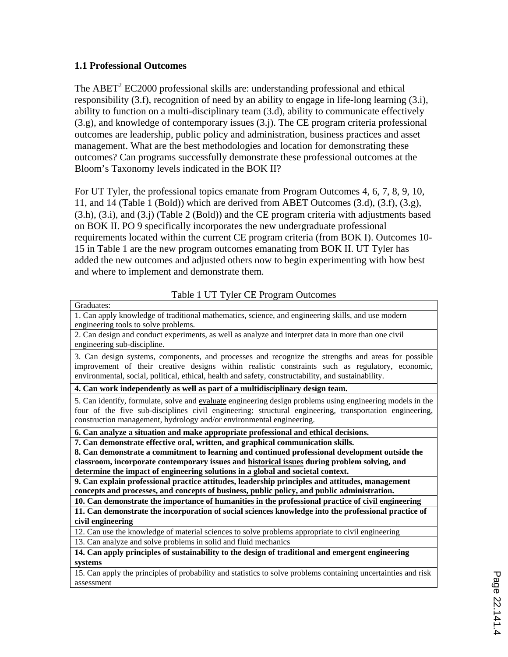# **1.1 Professional Outcomes**

The  $ABET<sup>2</sup> EC2000$  professional skills are: understanding professional and ethical responsibility (3.f), recognition of need by an ability to engage in life-long learning (3.i), ability to function on a multi-disciplinary team (3.d), ability to communicate effectively (3.g), and knowledge of contemporary issues (3.j). The CE program criteria professional outcomes are leadership, public policy and administration, business practices and asset management. What are the best methodologies and location for demonstrating these outcomes? Can programs successfully demonstrate these professional outcomes at the Bloom's Taxonomy levels indicated in the BOK II?

For UT Tyler, the professional topics emanate from Program Outcomes 4, 6, 7, 8, 9, 10, 11, and 14 (Table 1 (Bold)) which are derived from ABET Outcomes (3.d), (3.f), (3.g), (3.h), (3.i), and (3.j) (Table 2 (Bold)) and the CE program criteria with adjustments based on BOK II. PO 9 specifically incorporates the new undergraduate professional requirements located within the current CE program criteria (from BOK I). Outcomes 10- 15 in Table 1 are the new program outcomes emanating from BOK II. UT Tyler has added the new outcomes and adjusted others now to begin experimenting with how best and where to implement and demonstrate them.

#### Table 1 UT Tyler CE Program Outcomes

| Graduates:                                                                                                 |
|------------------------------------------------------------------------------------------------------------|
| 1. Can apply knowledge of traditional mathematics, science, and engineering skills, and use modern         |
| engineering tools to solve problems.                                                                       |
| 2. Can design and conduct experiments, as well as analyze and interpret data in more than one civil        |
| engineering sub-discipline.                                                                                |
| 3. Can design systems, components, and processes and recognize the strengths and areas for possible        |
| improvement of their creative designs within realistic constraints such as regulatory, economic,           |
| environmental, social, political, ethical, health and safety, constructability, and sustainability.        |
| 4. Can work independently as well as part of a multidisciplinary design team.                              |
| 5. Can identify, formulate, solve and evaluate engineering design problems using engineering models in the |
| four of the five sub-disciplines civil engineering: structural engineering, transportation engineering,    |
| construction management, hydrology and/or environmental engineering.                                       |
| 6. Can analyze a situation and make appropriate professional and ethical decisions.                        |
| 7. Can demonstrate effective oral, written, and graphical communication skills.                            |
| 8. Can demonstrate a commitment to learning and continued professional development outside the             |
| classroom, incorporate contemporary issues and historical issues during problem solving, and               |
| determine the impact of engineering solutions in a global and societal context.                            |
| 9. Can explain professional practice attitudes, leadership principles and attitudes, management            |
| concepts and processes, and concepts of business, public policy, and public administration.                |
| 10. Can demonstrate the importance of humanities in the professional practice of civil engineering         |
| 11. Can demonstrate the incorporation of social sciences knowledge into the professional practice of       |
| civil engineering                                                                                          |
| 12. Can use the knowledge of material sciences to solve problems appropriate to civil engineering          |
| 13. Can analyze and solve problems in solid and fluid mechanics                                            |
| 14. Can apply principles of sustainability to the design of traditional and emergent engineering           |
| systems                                                                                                    |
|                                                                                                            |

15. Can apply the principles of probability and statistics to solve problems containing uncertainties and risk assessment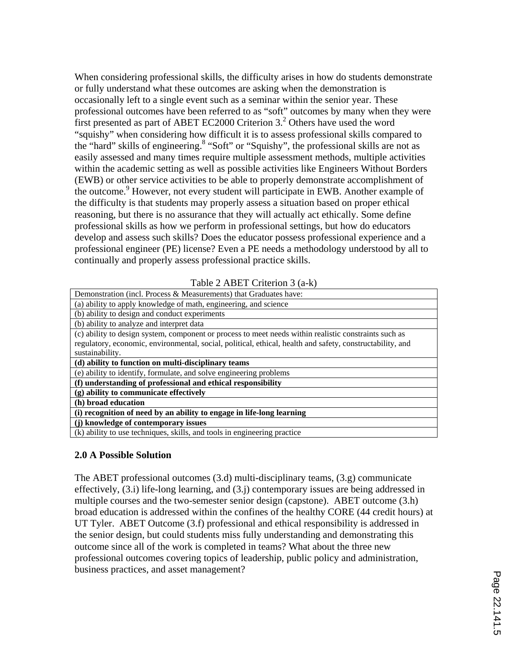When considering professional skills, the difficulty arises in how do students demonstrate or fully understand what these outcomes are asking when the demonstration is occasionally left to a single event such as a seminar within the senior year. These professional outcomes have been referred to as "soft" outcomes by many when they were first presented as part of ABET EC2000 Criterion 3.<sup>2</sup> Others have used the word "squishy" when considering how difficult it is to assess professional skills compared to the "hard" skills of engineering.<sup>8</sup> "Soft" or "Squishy", the professional skills are not as easily assessed and many times require multiple assessment methods, multiple activities within the academic setting as well as possible activities like Engineers Without Borders (EWB) or other service activities to be able to properly demonstrate accomplishment of the outcome.<sup>9</sup> However, not every student will participate in EWB. Another example of the difficulty is that students may properly assess a situation based on proper ethical reasoning, but there is no assurance that they will actually act ethically. Some define professional skills as how we perform in professional settings, but how do educators develop and assess such skills? Does the educator possess professional experience and a professional engineer (PE) license? Even a PE needs a methodology understood by all to continually and properly assess professional practice skills.

#### Table 2 ABET Criterion 3 (a-k)

| Demonstration (incl. Process & Measurements) that Graduates have:                                         |
|-----------------------------------------------------------------------------------------------------------|
| (a) ability to apply knowledge of math, engineering, and science                                          |
| (b) ability to design and conduct experiments                                                             |
| (b) ability to analyze and interpret data                                                                 |
| (c) ability to design system, component or process to meet needs within realistic constraints such as     |
| regulatory, economic, environmental, social, political, ethical, health and safety, constructability, and |
| sustainability.                                                                                           |
| (d) ability to function on multi-disciplinary teams                                                       |
| (e) ability to identify, formulate, and solve engineering problems                                        |
| (f) understanding of professional and ethical responsibility                                              |
| (g) ability to communicate effectively                                                                    |
| (h) broad education                                                                                       |
| (i) recognition of need by an ability to engage in life-long learning                                     |
| (j) knowledge of contemporary issues                                                                      |
| (k) ability to use techniques, skills, and tools in engineering practice                                  |

#### **2.0 A Possible Solution**

The ABET professional outcomes (3.d) multi-disciplinary teams, (3.g) communicate effectively, (3.i) life-long learning, and (3.j) contemporary issues are being addressed in multiple courses and the two-semester senior design (capstone). ABET outcome (3.h) broad education is addressed within the confines of the healthy CORE (44 credit hours) at UT Tyler. ABET Outcome (3.f) professional and ethical responsibility is addressed in the senior design, but could students miss fully understanding and demonstrating this outcome since all of the work is completed in teams? What about the three new professional outcomes covering topics of leadership, public policy and administration, business practices, and asset management?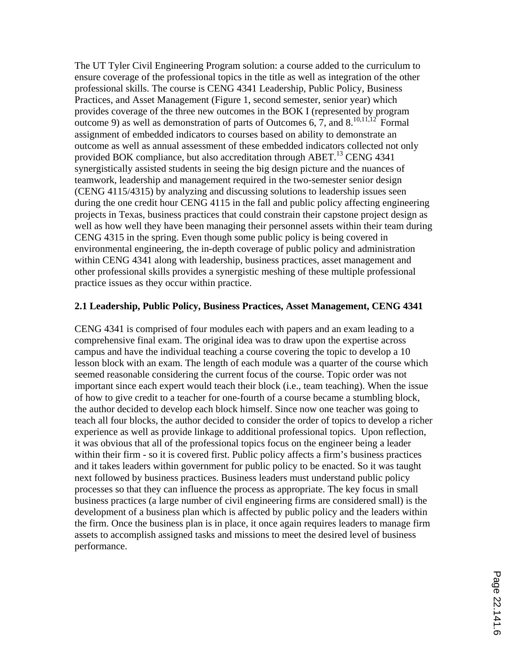The UT Tyler Civil Engineering Program solution: a course added to the curriculum to ensure coverage of the professional topics in the title as well as integration of the other professional skills. The course is CENG 4341 Leadership, Public Policy, Business Practices, and Asset Management (Figure 1, second semester, senior year) which provides coverage of the three new outcomes in the BOK I (represented by program outcome 9) as well as demonstration of parts of Outcomes 6,  $\overline{7}$ , and 8.<sup>10,11,12</sup> Formal assignment of embedded indicators to courses based on ability to demonstrate an outcome as well as annual assessment of these embedded indicators collected not only provided BOK compliance, but also accreditation through ABET.<sup>13</sup> CENG 4341 synergistically assisted students in seeing the big design picture and the nuances of teamwork, leadership and management required in the two-semester senior design (CENG 4115/4315) by analyzing and discussing solutions to leadership issues seen during the one credit hour CENG 4115 in the fall and public policy affecting engineering projects in Texas, business practices that could constrain their capstone project design as well as how well they have been managing their personnel assets within their team during CENG 4315 in the spring. Even though some public policy is being covered in environmental engineering, the in-depth coverage of public policy and administration within CENG 4341 along with leadership, business practices, asset management and other professional skills provides a synergistic meshing of these multiple professional practice issues as they occur within practice.

#### **2.1 Leadership, Public Policy, Business Practices, Asset Management, CENG 4341**

CENG 4341 is comprised of four modules each with papers and an exam leading to a comprehensive final exam. The original idea was to draw upon the expertise across campus and have the individual teaching a course covering the topic to develop a 10 lesson block with an exam. The length of each module was a quarter of the course which seemed reasonable considering the current focus of the course. Topic order was not important since each expert would teach their block (i.e., team teaching). When the issue of how to give credit to a teacher for one-fourth of a course became a stumbling block, the author decided to develop each block himself. Since now one teacher was going to teach all four blocks, the author decided to consider the order of topics to develop a richer experience as well as provide linkage to additional professional topics. Upon reflection, it was obvious that all of the professional topics focus on the engineer being a leader within their firm - so it is covered first. Public policy affects a firm's business practices and it takes leaders within government for public policy to be enacted. So it was taught next followed by business practices. Business leaders must understand public policy processes so that they can influence the process as appropriate. The key focus in small business practices (a large number of civil engineering firms are considered small) is the development of a business plan which is affected by public policy and the leaders within the firm. Once the business plan is in place, it once again requires leaders to manage firm assets to accomplish assigned tasks and missions to meet the desired level of business performance.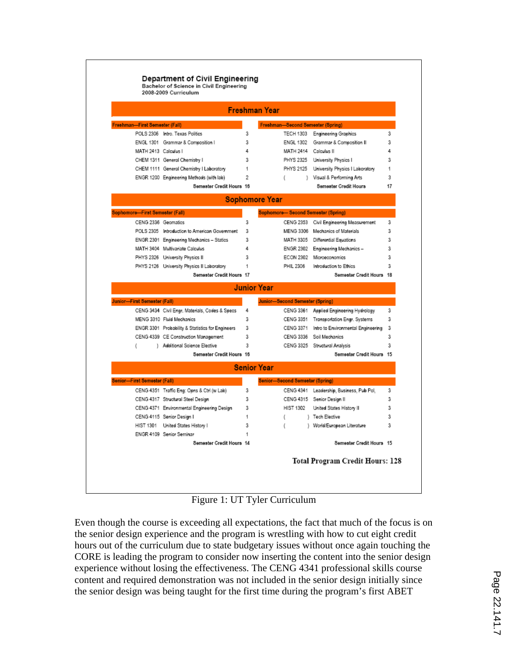#### Department of Civil Engineering

Bachelor of Science in Civil Engineering 2008-2009 Curriculum

| Freshman-First Semester (Fall)  |                                                  |                | Freshman-Second Semester (Spring) |                  |                                          |    |
|---------------------------------|--------------------------------------------------|----------------|-----------------------------------|------------------|------------------------------------------|----|
|                                 | POLS 2306 Intro. Texas Politics                  | 3              |                                   | TECH 1303        | <b>Engineering Graphics</b>              | 3  |
|                                 | ENGL 1301 Grammar & Composition I                | 3              |                                   | FNG 1302         | Grammar & Composition II                 |    |
| MATH 2413 Calculus I            |                                                  | Δ              |                                   |                  | MATH 2414 Calculus II                    |    |
|                                 | CHEM 1311 General Chemistry I                    | 3              |                                   |                  | PHYS 2325 University Physics I           |    |
|                                 | CHEM 1111 General Chemistry I Laboratory         | 1              |                                   | PHYS 2125        | University Physics I Laboratory          |    |
|                                 | ENGR 1200 Engineering Methods (with lab)         | $\overline{2}$ |                                   |                  | ) Visual & Performing Arts               |    |
|                                 | Semester Credit Hours 16                         |                |                                   |                  | Semester Credit Hours                    | 17 |
|                                 |                                                  |                | <b>Sophomore Year</b>             |                  |                                          |    |
| Sophomore-First Semester (Fall) |                                                  |                |                                   |                  | Sophomore-Second Semester (Spring)       |    |
| CENG 2336 Geomatics             |                                                  | 3              |                                   | CENG 2353        | Civil Engineering Measurement            | 3  |
|                                 | POLS 2305 Introduction to American Government    | 3              |                                   | MENG 3306        | Mechanics of Materials                   |    |
|                                 | ENGR 2301 Engineering Mechanics - Statics        | 3              |                                   |                  | MATH 3305 Differential Equations         |    |
|                                 | MATH 3404 Multivariate Calculus                  | 4              |                                   |                  | ENGR 2302 Engineering Mechanics-         |    |
|                                 | PHYS 2326 University Physics II                  | 3              |                                   |                  | ECON 2302 Microeconomics                 |    |
|                                 | PHYS 2126 University Physics II Laboratory       | 1              |                                   | PHIL 2306        | Introduction to Ethics                   |    |
|                                 | Semester Credit Hours 17                         |                |                                   |                  | Semester Credit Hours 18                 |    |
|                                 |                                                  |                | <b>Junior Year</b>                |                  |                                          |    |
| Junior-First Semester (Fall)    |                                                  |                | Junior-Second Semester (Spring)   |                  |                                          |    |
|                                 | CENG 3434 Civil Engr. Materials, Codes & Specs   | 4              |                                   | CENG 3361        | Applied Engineering Hydrology            | 3  |
|                                 | MENG 3310 Fluid Mechanics                        | 3              |                                   | CENG 3351        | Transportation Engr. Systems             |    |
|                                 | ENGR 3301 Probability & Statistics for Engineers | 3              |                                   | CENG 3371        | Intro to Environmental Engineering       | 3  |
|                                 | CENG 4339 CE Construction Management             | 3              |                                   |                  | CENG 3336 Soil Mechanics                 | 3  |
|                                 | ) Additional Science Elective                    | 3              |                                   |                  | CENG 3325 Structural Analysis            |    |
|                                 | Semester Credit Hours 16                         |                |                                   |                  | Semester Credit Hours 15                 |    |
|                                 |                                                  |                | <b>Senior Year</b>                |                  |                                          |    |
| Senior-First Semester (Fall)    |                                                  |                | Senior-Second Semester (Spring)   |                  |                                          |    |
|                                 | CENG 4351 Traffic Eng: Opns & Ctrl (w Lab)       | 3              |                                   |                  | CENG 4341 Leadership, Business, Pub Pol. |    |
|                                 | CENG 4317 Structural Steel Design                | 3              |                                   |                  | CENG 4315 Senior Design II               |    |
|                                 | CENG 4371 Environmental Engineering Design       | 3              |                                   | <b>HIST 1302</b> | United States History II                 |    |
|                                 | CENG 4115 Senior Design I                        | 1              |                                   |                  | ) Tech Elective                          |    |
|                                 | HIST 1301 United States History I                | 3              |                                   |                  | ) World/European Literature              | 3  |
|                                 | ENGR 4109 Senior Seminar                         |                |                                   |                  |                                          |    |
|                                 | Semester Credit Hours 14                         |                |                                   |                  | Semester Credit Hours 15                 |    |
|                                 |                                                  |                |                                   |                  | Total Program Credit Hours: 128          |    |

Figure 1: UT Tyler Curriculum

Even though the course is exceeding all expectations, the fact that much of the focus is on the senior design experience and the program is wrestling with how to cut eight credit hours out of the curriculum due to state budgetary issues without once again touching the CORE is leading the program to consider now inserting the content into the senior design experience without losing the effectiveness. The CENG 4341 professional skills course content and required demonstration was not included in the senior design initially since the senior design was being taught for the first time during the program's first ABET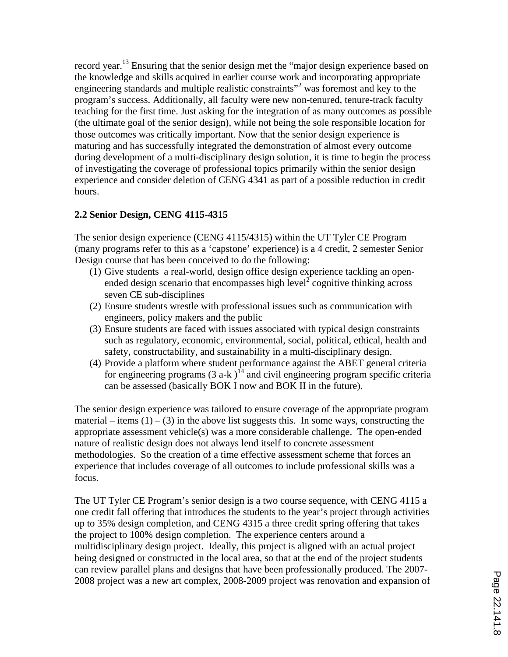record year.<sup>13</sup> Ensuring that the senior design met the "major design experience based on the knowledge and skills acquired in earlier course work and incorporating appropriate engineering standards and multiple realistic constraints"<sup>2</sup> was foremost and key to the program's success. Additionally, all faculty were new non-tenured, tenure-track faculty teaching for the first time. Just asking for the integration of as many outcomes as possible (the ultimate goal of the senior design), while not being the sole responsible location for those outcomes was critically important. Now that the senior design experience is maturing and has successfully integrated the demonstration of almost every outcome during development of a multi-disciplinary design solution, it is time to begin the process of investigating the coverage of professional topics primarily within the senior design experience and consider deletion of CENG 4341 as part of a possible reduction in credit hours.

# **2.2 Senior Design, CENG 4115-4315**

The senior design experience (CENG 4115/4315) within the UT Tyler CE Program (many programs refer to this as a 'capstone' experience) is a 4 credit, 2 semester Senior Design course that has been conceived to do the following:

- (1) Give students a real-world, design office design experience tackling an openended design scenario that encompasses high level<sup>2</sup> cognitive thinking across seven CE sub-disciplines
- (2) Ensure students wrestle with professional issues such as communication with engineers, policy makers and the public
- (3) Ensure students are faced with issues associated with typical design constraints such as regulatory, economic, environmental, social, political, ethical, health and safety, constructability, and sustainability in a multi-disciplinary design.
- (4) Provide a platform where student performance against the ABET general criteria for engineering programs (3 a-k)<sup>14</sup> and civil engineering program specific criteria can be assessed (basically BOK I now and BOK II in the future).

The senior design experience was tailored to ensure coverage of the appropriate program material – items  $(1) - (3)$  in the above list suggests this. In some ways, constructing the appropriate assessment vehicle(s) was a more considerable challenge. The open-ended nature of realistic design does not always lend itself to concrete assessment methodologies. So the creation of a time effective assessment scheme that forces an experience that includes coverage of all outcomes to include professional skills was a focus.

The UT Tyler CE Program's senior design is a two course sequence, with CENG 4115 a one credit fall offering that introduces the students to the year's project through activities up to 35% design completion, and CENG 4315 a three credit spring offering that takes the project to 100% design completion. The experience centers around a multidisciplinary design project. Ideally, this project is aligned with an actual project being designed or constructed in the local area, so that at the end of the project students can review parallel plans and designs that have been professionally produced. The 2007- 2008 project was a new art complex, 2008-2009 project was renovation and expansion of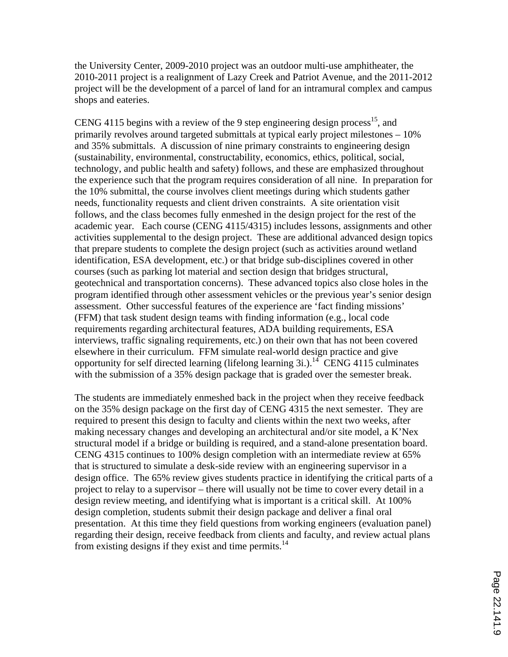the University Center, 2009-2010 project was an outdoor multi-use amphitheater, the 2010-2011 project is a realignment of Lazy Creek and Patriot Avenue, and the 2011-2012 project will be the development of a parcel of land for an intramural complex and campus shops and eateries.

CENG 4115 begins with a review of the 9 step engineering design process<sup>15</sup>, and primarily revolves around targeted submittals at typical early project milestones – 10% and 35% submittals. A discussion of nine primary constraints to engineering design (sustainability, environmental, constructability, economics, ethics, political, social, technology, and public health and safety) follows, and these are emphasized throughout the experience such that the program requires consideration of all nine. In preparation for the 10% submittal, the course involves client meetings during which students gather needs, functionality requests and client driven constraints. A site orientation visit follows, and the class becomes fully enmeshed in the design project for the rest of the academic year. Each course (CENG 4115/4315) includes lessons, assignments and other activities supplemental to the design project. These are additional advanced design topics that prepare students to complete the design project (such as activities around wetland identification, ESA development, etc.) or that bridge sub-disciplines covered in other courses (such as parking lot material and section design that bridges structural, geotechnical and transportation concerns). These advanced topics also close holes in the program identified through other assessment vehicles or the previous year's senior design assessment. Other successful features of the experience are 'fact finding missions' (FFM) that task student design teams with finding information (e.g., local code requirements regarding architectural features, ADA building requirements, ESA interviews, traffic signaling requirements, etc.) on their own that has not been covered elsewhere in their curriculum. FFM simulate real-world design practice and give opportunity for self directed learning (lifelong learning  $3i$ .).<sup>14</sup> CENG 4115 culminates with the submission of a 35% design package that is graded over the semester break.

The students are immediately enmeshed back in the project when they receive feedback on the 35% design package on the first day of CENG 4315 the next semester. They are required to present this design to faculty and clients within the next two weeks, after making necessary changes and developing an architectural and/or site model, a K'Nex structural model if a bridge or building is required, and a stand-alone presentation board. CENG 4315 continues to 100% design completion with an intermediate review at 65% that is structured to simulate a desk-side review with an engineering supervisor in a design office. The 65% review gives students practice in identifying the critical parts of a project to relay to a supervisor – there will usually not be time to cover every detail in a design review meeting, and identifying what is important is a critical skill. At 100% design completion, students submit their design package and deliver a final oral presentation. At this time they field questions from working engineers (evaluation panel) regarding their design, receive feedback from clients and faculty, and review actual plans from existing designs if they exist and time permits.<sup>14</sup>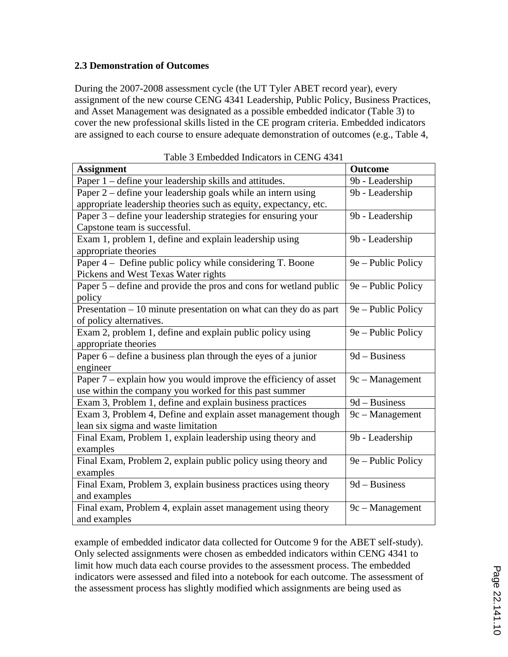# **2.3 Demonstration of Outcomes**

During the 2007-2008 assessment cycle (the UT Tyler ABET record year), every assignment of the new course CENG 4341 Leadership, Public Policy, Business Practices, and Asset Management was designated as a possible embedded indicator (Table 3) to cover the new professional skills listed in the CE program criteria. Embedded indicators are assigned to each course to ensure adequate demonstration of outcomes (e.g., Table 4,

| o Linocuttu murculoro in CLITO To T<br><b>Assignment</b>            | <b>Outcome</b>     |
|---------------------------------------------------------------------|--------------------|
| Paper 1 – define your leadership skills and attitudes.              | 9b - Leadership    |
|                                                                     |                    |
| Paper 2 – define your leadership goals while an intern using        | 9b - Leadership    |
| appropriate leadership theories such as equity, expectancy, etc.    |                    |
| Paper 3 – define your leadership strategies for ensuring your       | 9b - Leadership    |
| Capstone team is successful.                                        |                    |
| Exam 1, problem 1, define and explain leadership using              | 9b - Leadership    |
| appropriate theories                                                |                    |
| Paper 4 – Define public policy while considering T. Boone           | 9e – Public Policy |
| Pickens and West Texas Water rights                                 |                    |
| Paper $5$ – define and provide the pros and cons for wetland public | 9e – Public Policy |
| policy                                                              |                    |
| Presentation $-10$ minute presentation on what can they do as part  | 9e – Public Policy |
| of policy alternatives.                                             |                    |
| Exam 2, problem 1, define and explain public policy using           | 9e – Public Policy |
| appropriate theories                                                |                    |
| Paper $6$ – define a business plan through the eyes of a junior     | $9d - Business$    |
| engineer                                                            |                    |
| Paper $7$ – explain how you would improve the efficiency of asset   | $9c - Management$  |
| use within the company you worked for this past summer              |                    |
| Exam 3, Problem 1, define and explain business practices            | $9d - Business$    |
| Exam 3, Problem 4, Define and explain asset management though       | $9c - Management$  |
| lean six sigma and waste limitation                                 |                    |
| Final Exam, Problem 1, explain leadership using theory and          | 9b - Leadership    |
| examples                                                            |                    |
| Final Exam, Problem 2, explain public policy using theory and       | 9e – Public Policy |
| examples                                                            |                    |
| Final Exam, Problem 3, explain business practices using theory      | $9d - Business$    |
| and examples                                                        |                    |
| Final exam, Problem 4, explain asset management using theory        | $9c - Management$  |
| and examples                                                        |                    |

Table 3 Embedded Indicators in CENG 4341

example of embedded indicator data collected for Outcome 9 for the ABET self-study). Only selected assignments were chosen as embedded indicators within CENG 4341 to limit how much data each course provides to the assessment process. The embedded indicators were assessed and filed into a notebook for each outcome. The assessment of the assessment process has slightly modified which assignments are being used as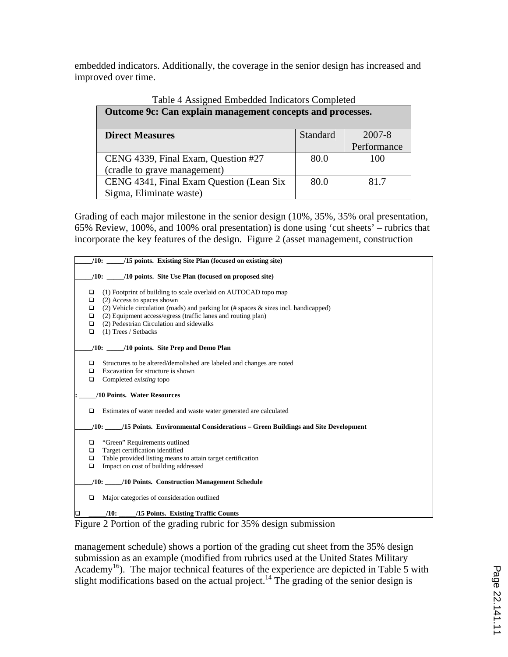embedded indicators. Additionally, the coverage in the senior design has increased and improved over time.

| Table 4 Assigned Embedded Indicators Completed             |      |             |  |  |  |  |  |  |  |  |
|------------------------------------------------------------|------|-------------|--|--|--|--|--|--|--|--|
| Outcome 9c: Can explain management concepts and processes. |      |             |  |  |  |  |  |  |  |  |
|                                                            |      |             |  |  |  |  |  |  |  |  |
| Standard<br><b>Direct Measures</b><br>2007-8               |      |             |  |  |  |  |  |  |  |  |
|                                                            |      | Performance |  |  |  |  |  |  |  |  |
| CENG 4339, Final Exam, Question #27                        | 80.0 | 100         |  |  |  |  |  |  |  |  |
| (cradle to grave management)                               |      |             |  |  |  |  |  |  |  |  |
| CENG 4341, Final Exam Question (Lean Six)                  | 80.0 | 81.7        |  |  |  |  |  |  |  |  |
| Sigma, Eliminate waste)                                    |      |             |  |  |  |  |  |  |  |  |

Grading of each major milestone in the senior design (10%, 35%, 35% oral presentation, 65% Review, 100%, and 100% oral presentation) is done using 'cut sheets' – rubrics that incorporate the key features of the design. Figure 2 (asset management, construction

| /10: /15 points. Existing Site Plan (focused on existing site)                                                                                                                                                                                                                                                                                                    |
|-------------------------------------------------------------------------------------------------------------------------------------------------------------------------------------------------------------------------------------------------------------------------------------------------------------------------------------------------------------------|
|                                                                                                                                                                                                                                                                                                                                                                   |
| /10:<br>/10 points. Site Use Plan (focused on proposed site)                                                                                                                                                                                                                                                                                                      |
| (1) Footprint of building to scale overlaid on AUTOCAD topo map<br>□<br>(2) Access to spaces shown<br>□<br>(2) Vehicle circulation (roads) and parking lot (# spaces & sizes incl. handicapped)<br>□<br>(2) Equipment access/egress (traffic lanes and routing plan)<br>□<br>(2) Pedestrian Circulation and sidewalks<br>$\Box$<br>(1) Trees / Setbacks<br>$\Box$ |
| $/10$ : $/10$ points. Site Prep and Demo Plan                                                                                                                                                                                                                                                                                                                     |
| Structures to be altered/demolished are labeled and changes are noted<br>□<br>Excavation for structure is shown<br>$\Box$<br>Completed <i>existing</i> topo<br>$\Box$                                                                                                                                                                                             |
| /10 Points. Water Resources                                                                                                                                                                                                                                                                                                                                       |
| Estimates of water needed and waste water generated are calculated<br>$\Box$                                                                                                                                                                                                                                                                                      |
| /10: //15 Points. Environmental Considerations – Green Buildings and Site Development                                                                                                                                                                                                                                                                             |
| "Green" Requirements outlined<br>□<br>Target certification identified<br>□<br>Table provided listing means to attain target certification<br>$\Box$<br>Impact on cost of building addressed<br>$\Box$                                                                                                                                                             |
| /10: /10 Points. Construction Management Schedule                                                                                                                                                                                                                                                                                                                 |
| $\Box$<br>Major categories of consideration outlined                                                                                                                                                                                                                                                                                                              |
| /10:<br>/15 Points. Existing Traffic Counts<br>О                                                                                                                                                                                                                                                                                                                  |
| Figure 2 Portion of the grading rubric for 35% design submission                                                                                                                                                                                                                                                                                                  |

management schedule) shows a portion of the grading cut sheet from the 35% design submission as an example (modified from rubrics used at the United States Military Academy<sup>16</sup>). The major technical features of the experience are depicted in Table 5 with slight modifications based on the actual project.<sup>14</sup> The grading of the senior design is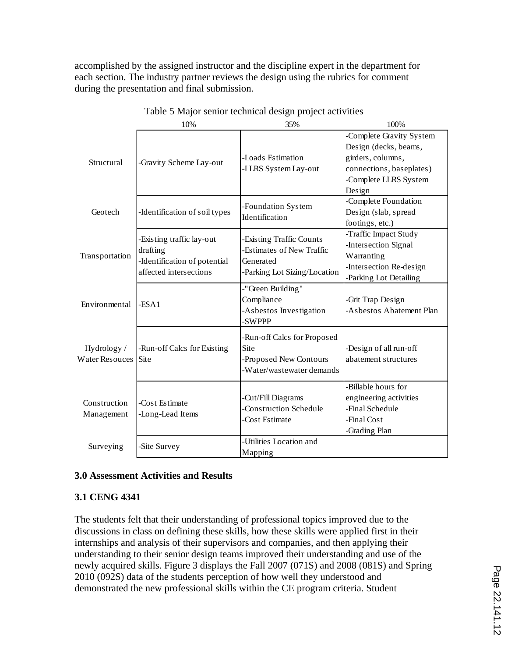accomplished by the assigned instructor and the discipline expert in the department for each section. The industry partner reviews the design using the rubrics for comment during the presentation and final submission.

|                                      | 10%                                                                                             | 35%                                                                                                | 100%                                                                                                                                  |  |  |
|--------------------------------------|-------------------------------------------------------------------------------------------------|----------------------------------------------------------------------------------------------------|---------------------------------------------------------------------------------------------------------------------------------------|--|--|
| Structural                           | -Gravity Scheme Lay-out                                                                         | -Loads Estimation<br>-LLRS System Lay-out                                                          | -Complete Gravity System<br>Design (decks, beams,<br>girders, columns,<br>connections, baseplates)<br>-Complete LLRS System<br>Design |  |  |
| Geotech                              | -Identification of soil types                                                                   | -Foundation System<br>Identification                                                               | -Complete Foundation<br>Design (slab, spread<br>footings, etc.)                                                                       |  |  |
| Transportation                       | -Existing traffic lay-out<br>drafting<br>-Identification of potential<br>affected intersections | -Existing Traffic Counts<br>-Estimates of New Traffic<br>Generated<br>-Parking Lot Sizing/Location | -Traffic Impact Study<br>-Intersection Signal<br>Warranting<br>-Intersection Re-design<br>-Parking Lot Detailing                      |  |  |
| Environmental                        | $-ESA1$                                                                                         | -"Green Building"<br>Compliance<br>-Asbestos Investigation<br>-SWPPP                               | -Grit Trap Design<br>-Asbestos Abatement Plan                                                                                         |  |  |
| Hydrology /<br><b>Water Resouces</b> | -Run-off Calcs for Existing<br>Site                                                             | -Run-off Calcs for Proposed<br>Site<br>-Proposed New Contours<br>-Water/wastewater demands         | -Design of all run-off<br>abatement structures                                                                                        |  |  |
| Construction<br>Management           | -Cost Estimate<br>-Long-Lead Items                                                              | -Cut/Fill Diagrams<br>-Construction Schedule<br>-Cost Estimate                                     | -Billable hours for<br>engineering activities<br>-Final Schedule<br>-Final Cost<br>Grading Plan                                       |  |  |
| Surveying                            | -Site Survey                                                                                    | -Utilities Location and<br>Mapping                                                                 |                                                                                                                                       |  |  |

| Table 5 Major senior technical design project activities |  |  |  |
|----------------------------------------------------------|--|--|--|

# **3.0 Assessment Activities and Results**

# **3.1 CENG 4341**

The students felt that their understanding of professional topics improved due to the discussions in class on defining these skills, how these skills were applied first in their internships and analysis of their supervisors and companies, and then applying their understanding to their senior design teams improved their understanding and use of the newly acquired skills. Figure 3 displays the Fall 2007 (071S) and 2008 (081S) and Spring 2010 (092S) data of the students perception of how well they understood and demonstrated the new professional skills within the CE program criteria. Student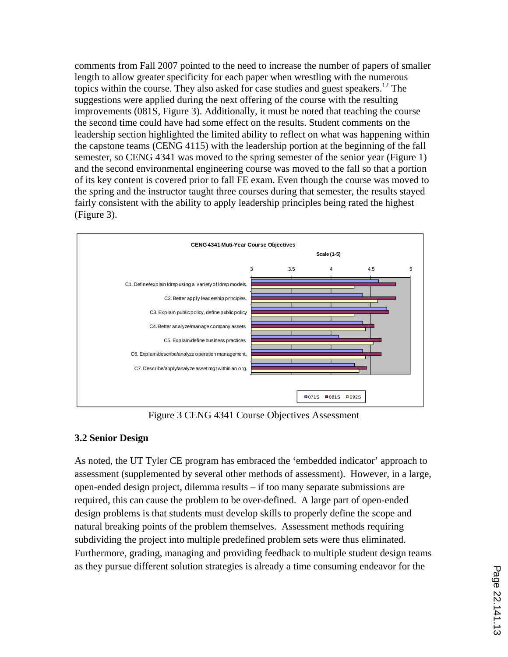comments from Fall 2007 pointed to the need to increase the number of papers of smaller length to allow greater specificity for each paper when wrestling with the numerous topics within the course. They also asked for case studies and guest speakers.<sup>12</sup> The suggestions were applied during the next offering of the course with the resulting improvements (081S, Figure 3). Additionally, it must be noted that teaching the course the second time could have had some effect on the results. Student comments on the leadership section highlighted the limited ability to reflect on what was happening within the capstone teams (CENG 4115) with the leadership portion at the beginning of the fall semester, so CENG 4341 was moved to the spring semester of the senior year (Figure 1) and the second environmental engineering course was moved to the fall so that a portion of its key content is covered prior to fall FE exam. Even though the course was moved to the spring and the instructor taught three courses during that semester, the results stayed fairly consistent with the ability to apply leadership principles being rated the highest (Figure 3).



Figure 3 CENG 4341 Course Objectives Assessment

# **3.2 Senior Design**

As noted, the UT Tyler CE program has embraced the 'embedded indicator' approach to assessment (supplemented by several other methods of assessment). However, in a large, open-ended design project, dilemma results – if too many separate submissions are required, this can cause the problem to be over-defined. A large part of open-ended design problems is that students must develop skills to properly define the scope and natural breaking points of the problem themselves. Assessment methods requiring subdividing the project into multiple predefined problem sets were thus eliminated. Furthermore, grading, managing and providing feedback to multiple student design teams as they pursue different solution strategies is already a time consuming endeavor for the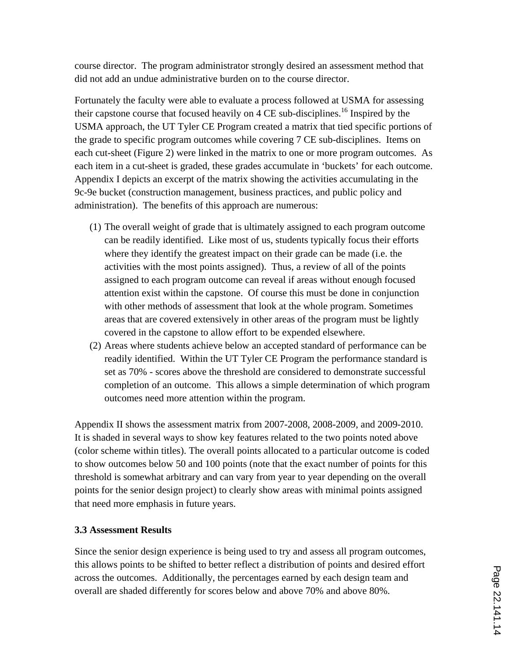course director. The program administrator strongly desired an assessment method that did not add an undue administrative burden on to the course director.

Fortunately the faculty were able to evaluate a process followed at USMA for assessing their capstone course that focused heavily on 4 CE sub-disciplines.<sup>16</sup> Inspired by the USMA approach, the UT Tyler CE Program created a matrix that tied specific portions of the grade to specific program outcomes while covering 7 CE sub-disciplines. Items on each cut-sheet (Figure 2) were linked in the matrix to one or more program outcomes. As each item in a cut-sheet is graded, these grades accumulate in 'buckets' for each outcome. Appendix I depicts an excerpt of the matrix showing the activities accumulating in the 9c-9e bucket (construction management, business practices, and public policy and administration). The benefits of this approach are numerous:

- (1) The overall weight of grade that is ultimately assigned to each program outcome can be readily identified. Like most of us, students typically focus their efforts where they identify the greatest impact on their grade can be made (i.e. the activities with the most points assigned). Thus, a review of all of the points assigned to each program outcome can reveal if areas without enough focused attention exist within the capstone. Of course this must be done in conjunction with other methods of assessment that look at the whole program. Sometimes areas that are covered extensively in other areas of the program must be lightly covered in the capstone to allow effort to be expended elsewhere.
- (2) Areas where students achieve below an accepted standard of performance can be readily identified. Within the UT Tyler CE Program the performance standard is set as 70% - scores above the threshold are considered to demonstrate successful completion of an outcome. This allows a simple determination of which program outcomes need more attention within the program.

Appendix II shows the assessment matrix from 2007-2008, 2008-2009, and 2009-2010. It is shaded in several ways to show key features related to the two points noted above (color scheme within titles). The overall points allocated to a particular outcome is coded to show outcomes below 50 and 100 points (note that the exact number of points for this threshold is somewhat arbitrary and can vary from year to year depending on the overall points for the senior design project) to clearly show areas with minimal points assigned that need more emphasis in future years.

# **3.3 Assessment Results**

Since the senior design experience is being used to try and assess all program outcomes, this allows points to be shifted to better reflect a distribution of points and desired effort across the outcomes. Additionally, the percentages earned by each design team and overall are shaded differently for scores below and above 70% and above 80%.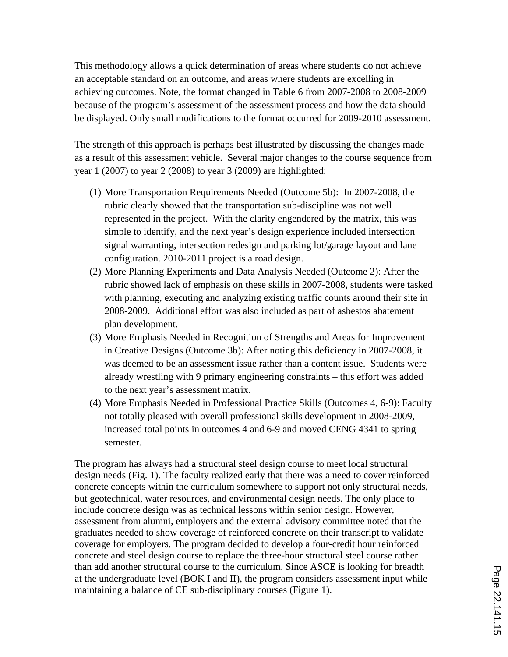This methodology allows a quick determination of areas where students do not achieve an acceptable standard on an outcome, and areas where students are excelling in achieving outcomes. Note, the format changed in Table 6 from 2007-2008 to 2008-2009 because of the program's assessment of the assessment process and how the data should be displayed. Only small modifications to the format occurred for 2009-2010 assessment.

The strength of this approach is perhaps best illustrated by discussing the changes made as a result of this assessment vehicle. Several major changes to the course sequence from year 1 (2007) to year 2 (2008) to year 3 (2009) are highlighted:

- (1) More Transportation Requirements Needed (Outcome 5b): In 2007-2008, the rubric clearly showed that the transportation sub-discipline was not well represented in the project. With the clarity engendered by the matrix, this was simple to identify, and the next year's design experience included intersection signal warranting, intersection redesign and parking lot/garage layout and lane configuration. 2010-2011 project is a road design.
- (2) More Planning Experiments and Data Analysis Needed (Outcome 2): After the rubric showed lack of emphasis on these skills in 2007-2008, students were tasked with planning, executing and analyzing existing traffic counts around their site in 2008-2009. Additional effort was also included as part of asbestos abatement plan development.
- (3) More Emphasis Needed in Recognition of Strengths and Areas for Improvement in Creative Designs (Outcome 3b): After noting this deficiency in 2007-2008, it was deemed to be an assessment issue rather than a content issue. Students were already wrestling with 9 primary engineering constraints – this effort was added to the next year's assessment matrix.
- (4) More Emphasis Needed in Professional Practice Skills (Outcomes 4, 6-9): Faculty not totally pleased with overall professional skills development in 2008-2009, increased total points in outcomes 4 and 6-9 and moved CENG 4341 to spring semester.

The program has always had a structural steel design course to meet local structural design needs (Fig. 1). The faculty realized early that there was a need to cover reinforced concrete concepts within the curriculum somewhere to support not only structural needs, but geotechnical, water resources, and environmental design needs. The only place to include concrete design was as technical lessons within senior design. However, assessment from alumni, employers and the external advisory committee noted that the graduates needed to show coverage of reinforced concrete on their transcript to validate coverage for employers. The program decided to develop a four-credit hour reinforced concrete and steel design course to replace the three-hour structural steel course rather than add another structural course to the curriculum. Since ASCE is looking for breadth at the undergraduate level (BOK I and II), the program considers assessment input while maintaining a balance of CE sub-disciplinary courses (Figure 1).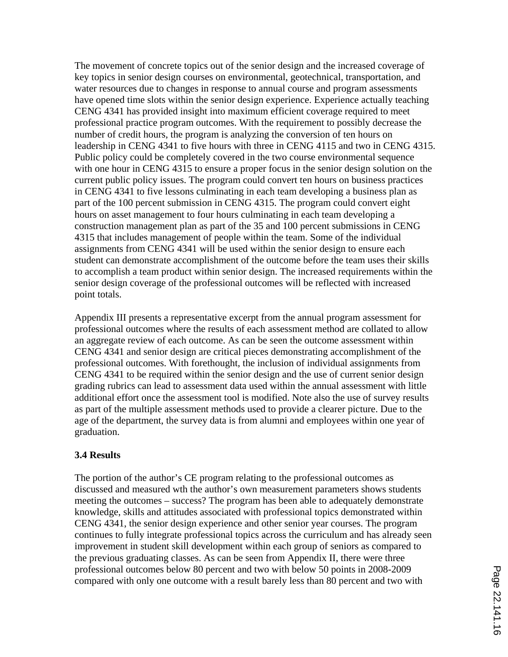The movement of concrete topics out of the senior design and the increased coverage of key topics in senior design courses on environmental, geotechnical, transportation, and water resources due to changes in response to annual course and program assessments have opened time slots within the senior design experience. Experience actually teaching CENG 4341 has provided insight into maximum efficient coverage required to meet professional practice program outcomes. With the requirement to possibly decrease the number of credit hours, the program is analyzing the conversion of ten hours on leadership in CENG 4341 to five hours with three in CENG 4115 and two in CENG 4315. Public policy could be completely covered in the two course environmental sequence with one hour in CENG 4315 to ensure a proper focus in the senior design solution on the current public policy issues. The program could convert ten hours on business practices in CENG 4341 to five lessons culminating in each team developing a business plan as part of the 100 percent submission in CENG 4315. The program could convert eight hours on asset management to four hours culminating in each team developing a construction management plan as part of the 35 and 100 percent submissions in CENG 4315 that includes management of people within the team. Some of the individual assignments from CENG 4341 will be used within the senior design to ensure each student can demonstrate accomplishment of the outcome before the team uses their skills to accomplish a team product within senior design. The increased requirements within the senior design coverage of the professional outcomes will be reflected with increased point totals.

Appendix III presents a representative excerpt from the annual program assessment for professional outcomes where the results of each assessment method are collated to allow an aggregate review of each outcome. As can be seen the outcome assessment within CENG 4341 and senior design are critical pieces demonstrating accomplishment of the professional outcomes. With forethought, the inclusion of individual assignments from CENG 4341 to be required within the senior design and the use of current senior design grading rubrics can lead to assessment data used within the annual assessment with little additional effort once the assessment tool is modified. Note also the use of survey results as part of the multiple assessment methods used to provide a clearer picture. Due to the age of the department, the survey data is from alumni and employees within one year of graduation.

#### **3.4 Results**

The portion of the author's CE program relating to the professional outcomes as discussed and measured wth the author's own measurement parameters shows students meeting the outcomes – success? The program has been able to adequately demonstrate knowledge, skills and attitudes associated with professional topics demonstrated within CENG 4341, the senior design experience and other senior year courses. The program continues to fully integrate professional topics across the curriculum and has already seen improvement in student skill development within each group of seniors as compared to the previous graduating classes. As can be seen from Appendix II, there were three professional outcomes below 80 percent and two with below 50 points in 2008-2009 compared with only one outcome with a result barely less than 80 percent and two with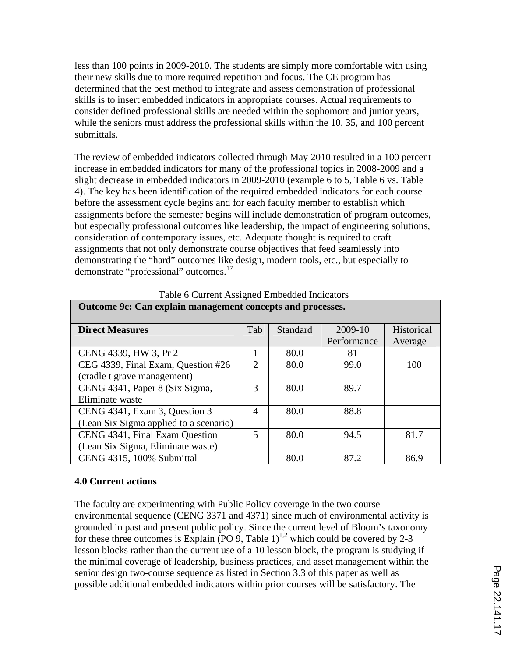less than 100 points in 2009-2010. The students are simply more comfortable with using their new skills due to more required repetition and focus. The CE program has determined that the best method to integrate and assess demonstration of professional skills is to insert embedded indicators in appropriate courses. Actual requirements to consider defined professional skills are needed within the sophomore and junior years, while the seniors must address the professional skills within the 10, 35, and 100 percent submittals.

The review of embedded indicators collected through May 2010 resulted in a 100 percent increase in embedded indicators for many of the professional topics in 2008-2009 and a slight decrease in embedded indicators in 2009-2010 (example 6 to 5, Table 6 vs. Table 4). The key has been identification of the required embedded indicators for each course before the assessment cycle begins and for each faculty member to establish which assignments before the semester begins will include demonstration of program outcomes, but especially professional outcomes like leadership, the impact of engineering solutions, consideration of contemporary issues, etc. Adequate thought is required to craft assignments that not only demonstrate course objectives that feed seamlessly into demonstrating the "hard" outcomes like design, modern tools, etc., but especially to demonstrate "professional" outcomes.<sup>17</sup>

| Outcome 9c: Can explain management concepts and processes. |                |          |             |                   |  |  |  |  |
|------------------------------------------------------------|----------------|----------|-------------|-------------------|--|--|--|--|
| <b>Direct Measures</b>                                     | Tab            | Standard | 2009-10     | <b>Historical</b> |  |  |  |  |
|                                                            |                |          | Performance | Average           |  |  |  |  |
| CENG 4339, HW 3, Pr 2                                      |                | 80.0     | 81          |                   |  |  |  |  |
| CEG 4339, Final Exam, Question #26                         | $\mathfrak{D}$ | 80.0     | 99.0        | 100               |  |  |  |  |
| (cradle t grave management)                                |                |          |             |                   |  |  |  |  |
| CENG 4341, Paper 8 (Six Sigma,                             | 3              | 80.0     | 89.7        |                   |  |  |  |  |
| Eliminate waste                                            |                |          |             |                   |  |  |  |  |
| CENG 4341, Exam 3, Question 3                              | 4              | 80.0     | 88.8        |                   |  |  |  |  |
| (Lean Six Sigma applied to a scenario)                     |                |          |             |                   |  |  |  |  |
| CENG 4341, Final Exam Question                             | 5              | 80.0     | 94.5        | 81.7              |  |  |  |  |
| (Lean Six Sigma, Eliminate waste)                          |                |          |             |                   |  |  |  |  |
| CENG 4315, 100% Submittal                                  |                | 80.0     | 87.2        | 86.9              |  |  |  |  |

Table 6 Current Assigned Embedded Indicators

# **4.0 Current actions**

The faculty are experimenting with Public Policy coverage in the two course environmental sequence (CENG 3371 and 4371) since much of environmental activity is grounded in past and present public policy. Since the current level of Bloom's taxonomy for these three outcomes is Explain (PO 9, Table  $1$ )<sup>1,2</sup> which could be covered by 2-3 lesson blocks rather than the current use of a 10 lesson block, the program is studying if the minimal coverage of leadership, business practices, and asset management within the senior design two-course sequence as listed in Section 3.3 of this paper as well as possible additional embedded indicators within prior courses will be satisfactory. The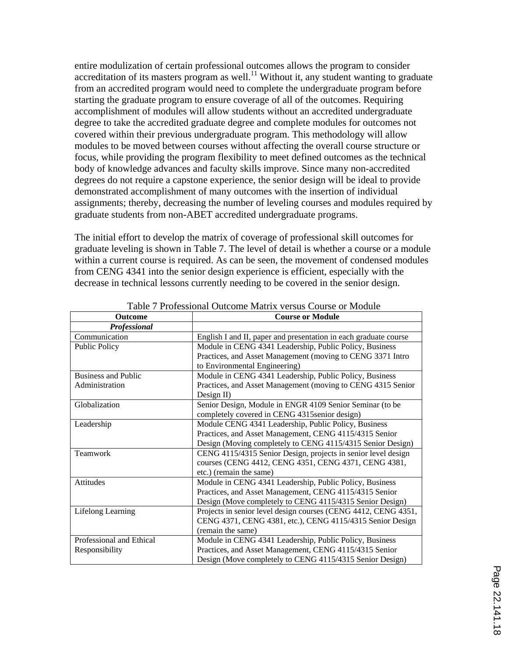entire modulization of certain professional outcomes allows the program to consider accreditation of its masters program as well.<sup>11</sup> Without it, any student wanting to graduate from an accredited program would need to complete the undergraduate program before starting the graduate program to ensure coverage of all of the outcomes. Requiring accomplishment of modules will allow students without an accredited undergraduate degree to take the accredited graduate degree and complete modules for outcomes not covered within their previous undergraduate program. This methodology will allow modules to be moved between courses without affecting the overall course structure or focus, while providing the program flexibility to meet defined outcomes as the technical body of knowledge advances and faculty skills improve. Since many non-accredited degrees do not require a capstone experience, the senior design will be ideal to provide demonstrated accomplishment of many outcomes with the insertion of individual assignments; thereby, decreasing the number of leveling courses and modules required by graduate students from non-ABET accredited undergraduate programs.

The initial effort to develop the matrix of coverage of professional skill outcomes for graduate leveling is shown in Table 7. The level of detail is whether a course or a module within a current course is required. As can be seen, the movement of condensed modules from CENG 4341 into the senior design experience is efficient, especially with the decrease in technical lessons currently needing to be covered in the senior design.

| <b>Outcome</b>             | <b>Course or Module</b>                                          |
|----------------------------|------------------------------------------------------------------|
| Professional               |                                                                  |
| Communication              | English I and II, paper and presentation in each graduate course |
| Public Policy              | Module in CENG 4341 Leadership, Public Policy, Business          |
|                            | Practices, and Asset Management (moving to CENG 3371 Intro       |
|                            | to Environmental Engineering)                                    |
| <b>Business and Public</b> | Module in CENG 4341 Leadership, Public Policy, Business          |
| Administration             | Practices, and Asset Management (moving to CENG 4315 Senior      |
|                            | Design II)                                                       |
| Globalization              | Senior Design, Module in ENGR 4109 Senior Seminar (to be         |
|                            | completely covered in CENG 4315 senior design)                   |
| Leadership                 | Module CENG 4341 Leadership, Public Policy, Business             |
|                            | Practices, and Asset Management, CENG 4115/4315 Senior           |
|                            | Design (Moving completely to CENG 4115/4315 Senior Design)       |
| <b>Teamwork</b>            | CENG 4115/4315 Senior Design, projects in senior level design    |
|                            | courses (CENG 4412, CENG 4351, CENG 4371, CENG 4381,             |
|                            | etc.) (remain the same)                                          |
| Attitudes                  | Module in CENG 4341 Leadership, Public Policy, Business          |
|                            | Practices, and Asset Management, CENG 4115/4315 Senior           |
|                            | Design (Move completely to CENG 4115/4315 Senior Design)         |
| Lifelong Learning          | Projects in senior level design courses (CENG 4412, CENG 4351,   |
|                            | CENG 4371, CENG 4381, etc.), CENG 4115/4315 Senior Design        |
|                            | (remain the same)                                                |
| Professional and Ethical   | Module in CENG 4341 Leadership, Public Policy, Business          |
| Responsibility             | Practices, and Asset Management, CENG 4115/4315 Senior           |
|                            | Design (Move completely to CENG 4115/4315 Senior Design)         |

Table 7 Professional Outcome Matrix versus Course or Module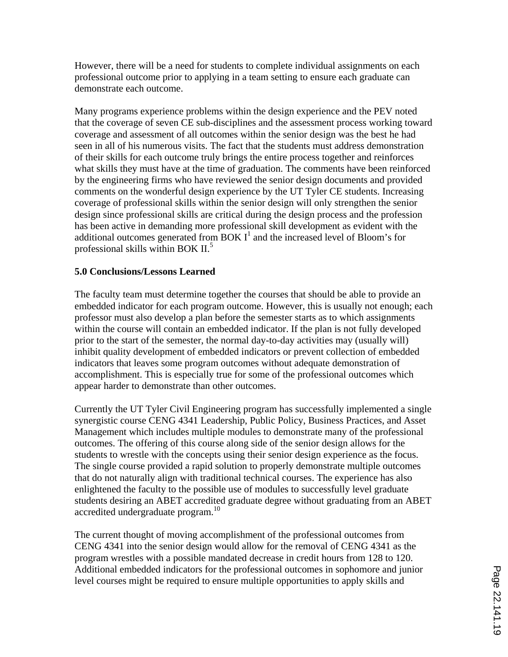However, there will be a need for students to complete individual assignments on each professional outcome prior to applying in a team setting to ensure each graduate can demonstrate each outcome.

Many programs experience problems within the design experience and the PEV noted that the coverage of seven CE sub-disciplines and the assessment process working toward coverage and assessment of all outcomes within the senior design was the best he had seen in all of his numerous visits. The fact that the students must address demonstration of their skills for each outcome truly brings the entire process together and reinforces what skills they must have at the time of graduation. The comments have been reinforced by the engineering firms who have reviewed the senior design documents and provided comments on the wonderful design experience by the UT Tyler CE students. Increasing coverage of professional skills within the senior design will only strengthen the senior design since professional skills are critical during the design process and the profession has been active in demanding more professional skill development as evident with the additional outcomes generated from BOK  $I<sup>1</sup>$  and the increased level of Bloom's for professional skills within BOK II.<sup>5</sup>

# **5.0 Conclusions/Lessons Learned**

The faculty team must determine together the courses that should be able to provide an embedded indicator for each program outcome. However, this is usually not enough; each professor must also develop a plan before the semester starts as to which assignments within the course will contain an embedded indicator. If the plan is not fully developed prior to the start of the semester, the normal day-to-day activities may (usually will) inhibit quality development of embedded indicators or prevent collection of embedded indicators that leaves some program outcomes without adequate demonstration of accomplishment. This is especially true for some of the professional outcomes which appear harder to demonstrate than other outcomes.

Currently the UT Tyler Civil Engineering program has successfully implemented a single synergistic course CENG 4341 Leadership, Public Policy, Business Practices, and Asset Management which includes multiple modules to demonstrate many of the professional outcomes. The offering of this course along side of the senior design allows for the students to wrestle with the concepts using their senior design experience as the focus. The single course provided a rapid solution to properly demonstrate multiple outcomes that do not naturally align with traditional technical courses. The experience has also enlightened the faculty to the possible use of modules to successfully level graduate students desiring an ABET accredited graduate degree without graduating from an ABET accredited undergraduate program.<sup>10</sup>

The current thought of moving accomplishment of the professional outcomes from CENG 4341 into the senior design would allow for the removal of CENG 4341 as the program wrestles with a possible mandated decrease in credit hours from 128 to 120. Additional embedded indicators for the professional outcomes in sophomore and junior level courses might be required to ensure multiple opportunities to apply skills and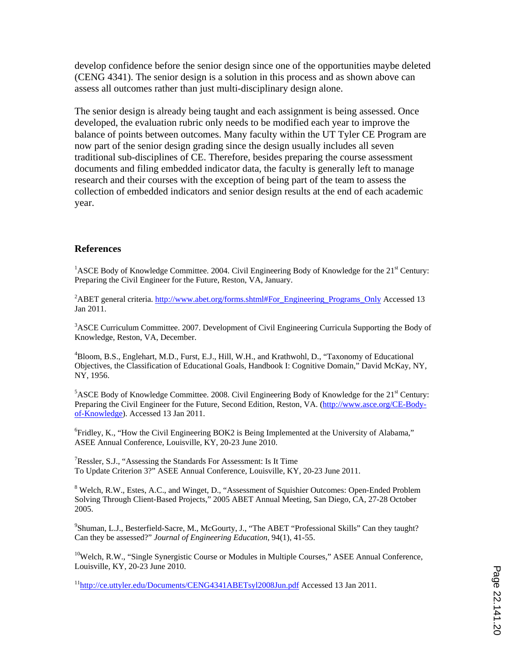develop confidence before the senior design since one of the opportunities maybe deleted (CENG 4341). The senior design is a solution in this process and as shown above can assess all outcomes rather than just multi-disciplinary design alone.

The senior design is already being taught and each assignment is being assessed. Once developed, the evaluation rubric only needs to be modified each year to improve the balance of points between outcomes. Many faculty within the UT Tyler CE Program are now part of the senior design grading since the design usually includes all seven traditional sub-disciplines of CE. Therefore, besides preparing the course assessment documents and filing embedded indicator data, the faculty is generally left to manage research and their courses with the exception of being part of the team to assess the collection of embedded indicators and senior design results at the end of each academic year.

#### **References**

<sup>1</sup>ASCE Body of Knowledge Committee. 2004. Civil Engineering Body of Knowledge for the 21<sup>st</sup> Century: Preparing the Civil Engineer for the Future, Reston, VA, January.

<sup>2</sup>ABET general criteria. http://www.abet.org/forms.shtml#For\_Engineering\_Programs\_Only Accessed 13 Jan 2011.

<sup>3</sup>ASCE Curriculum Committee. 2007. Development of Civil Engineering Curricula Supporting the Body of Knowledge, Reston, VA, December.

4 Bloom, B.S., Englehart, M.D., Furst, E.J., Hill, W.H., and Krathwohl, D., "Taxonomy of Educational Objectives, the Classification of Educational Goals, Handbook I: Cognitive Domain," David McKay, NY, NY, 1956.

 $5$ ASCE Body of Knowledge Committee. 2008. Civil Engineering Body of Knowledge for the 21<sup>st</sup> Century: Preparing the Civil Engineer for the Future, Second Edition, Reston, VA. (http://www.asce.org/CE-Bodyof-Knowledge). Accessed 13 Jan 2011.

<sup>6</sup> Fridley, K., "How the Civil Engineering BOK2 is Being Implemented at the University of Alabama," ASEE Annual Conference, Louisville, KY, 20-23 June 2010.

<sup>7</sup>Ressler, S.J., "Assessing the Standards For Assessment: Is It Time To Update Criterion 3?" ASEE Annual Conference, Louisville, KY, 20-23 June 2011.

<sup>8</sup> Welch, R.W., Estes, A.C., and Winget, D., "Assessment of Squishier Outcomes: Open-Ended Problem Solving Through Client-Based Projects," 2005 ABET Annual Meeting, San Diego, CA, 27-28 October 2005.

<sup>9</sup>Shuman, L.J., Besterfield-Sacre, M., McGourty, J., "The ABET "Professional Skills" Can they taught? Can they be assessed?" *Journal of Engineering Education*, 94(1), 41-55.

<sup>10</sup>Welch, R.W., "Single Synergistic Course or Modules in Multiple Courses," ASEE Annual Conference, Louisville, KY, 20-23 June 2010.

<sup>11</sup>http://ce.uttyler.edu/Documents/CENG4341ABETsyl2008Jun.pdf Accessed 13 Jan 2011.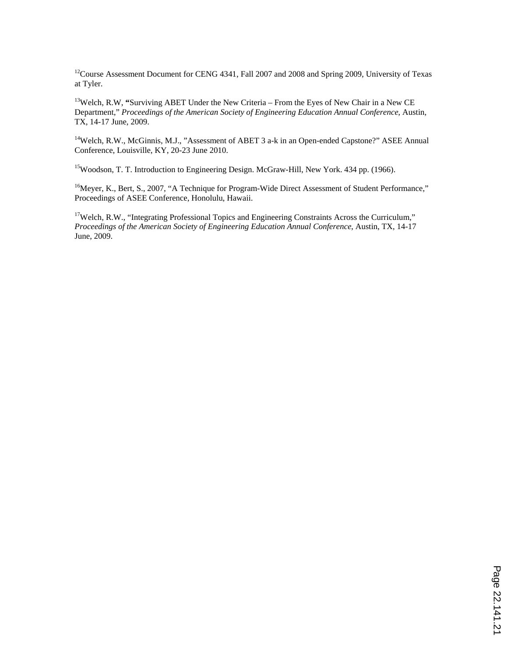<sup>12</sup>Course Assessment Document for CENG 4341, Fall 2007 and 2008 and Spring 2009, University of Texas at Tyler.

<sup>13</sup>Welch, R.W, "Surviving ABET Under the New Criteria – From the Eyes of New Chair in a New CE Department," *Proceedings of the American Society of Engineering Education Annual Conference*, Austin, TX, 14-17 June, 2009.

<sup>14</sup>Welch, R.W., McGinnis, M.J., "Assessment of ABET 3 a-k in an Open-ended Capstone?" ASEE Annual Conference, Louisville, KY, 20-23 June 2010.

<sup>15</sup>Woodson, T. T. Introduction to Engineering Design. McGraw-Hill, New York. 434 pp. (1966).

<sup>16</sup>Meyer, K., Bert, S., 2007, "A Technique for Program-Wide Direct Assessment of Student Performance," Proceedings of ASEE Conference, Honolulu, Hawaii.

<sup>17</sup>Welch, R.W., "Integrating Professional Topics and Engineering Constraints Across the Curriculum," *Proceedings of the American Society of Engineering Education Annual Conference*, Austin, TX, 14-17 June, 2009.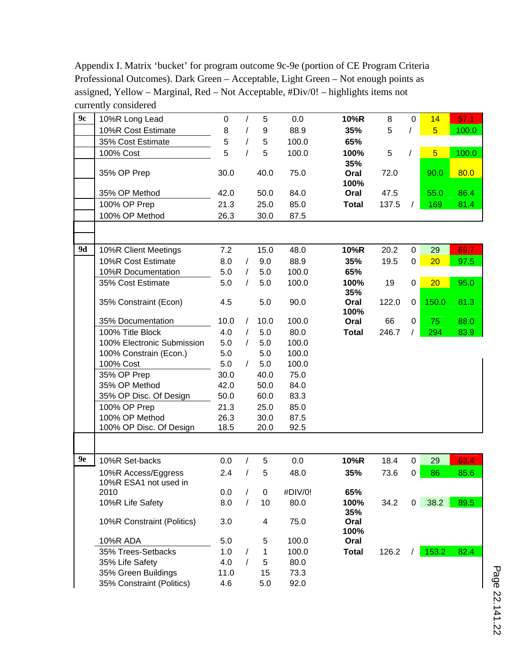| Appendix I. Matrix 'bucket' for program outcome 9c-9e (portion of CE Program Criteria  |
|----------------------------------------------------------------------------------------|
| Professional Outcomes). Dark Green – Acceptable, Light Green – Not enough points as    |
| assigned, Yellow – Marginal, Red – Not Acceptable, $\#Div(0)$ ! – highlights items not |
| currently considered                                                                   |

| 9c | 10%R Long Lead                          | 0    |            | 5           | 0.0     | 10%R         | 8     | $\boldsymbol{0}$ | 14              | 57.1  |
|----|-----------------------------------------|------|------------|-------------|---------|--------------|-------|------------------|-----------------|-------|
|    | 10%R Cost Estimate                      | 8    |            | 9           | 88.9    | 35%          | 5     |                  | $\overline{5}$  | 100.0 |
|    | 35% Cost Estimate                       | 5    |            | 5           | 100.0   | 65%          |       |                  |                 |       |
|    | 100% Cost                               | 5    |            | 5           | 100.0   | 100%         | 5     | $\prime$         | $5\overline{)}$ | 100.0 |
|    |                                         |      |            |             |         | 35%          |       |                  |                 |       |
|    | 35% OP Prep                             | 30.0 |            | 40.0        | 75.0    | Oral         | 72.0  |                  | 90.0            | 80.0  |
|    |                                         |      |            |             |         | 100%         |       |                  |                 |       |
|    | 35% OP Method                           | 42.0 |            | 50.0        | 84.0    | Oral         | 47.5  |                  | 55.0            | 86.4  |
|    | 100% OP Prep                            | 21.3 |            | 25.0        | 85.0    | <b>Total</b> | 137.5 |                  | 169             | 81.4  |
|    | 100% OP Method                          | 26.3 |            | 30.0        | 87.5    |              |       |                  |                 |       |
|    |                                         |      |            |             |         |              |       |                  |                 |       |
| 9d |                                         |      |            |             |         |              |       |                  |                 |       |
|    | 10%R Client Meetings                    | 7.2  |            | 15.0        | 48.0    | 10%R         | 20.2  | 0                | 29              | 69.7  |
|    | 10%R Cost Estimate                      | 8.0  | $\prime$   | 9.0         | 88.9    | 35%          | 19.5  | 0                | 20              | 97.5  |
|    | 10%R Documentation<br>35% Cost Estimate | 5.0  | $\sqrt{ }$ | 5.0         | 100.0   | 65%          |       |                  |                 |       |
|    |                                         | 5.0  | $\prime$   | 5.0         | 100.0   | 100%<br>35%  | 19    | 0                | 20              | 95.0  |
|    | 35% Constraint (Econ)                   | 4.5  |            | 5.0         | 90.0    | Oral         | 122.0 | $\mathbf 0$      | 150.0           | 81.3  |
|    |                                         |      |            |             |         | 100%         |       |                  |                 |       |
|    | 35% Documentation                       | 10.0 | $\prime$   | 10.0        | 100.0   | Oral         | 66    | 0                | 75              | 88.0  |
|    | 100% Title Block                        | 4.0  | $\prime$   | 5.0         | 80.0    | <b>Total</b> | 246.7 | $\sqrt{2}$       | 294             | 83.9  |
|    | 100% Electronic Submission              | 5.0  |            | 5.0         | 100.0   |              |       |                  |                 |       |
|    | 100% Constrain (Econ.)                  | 5.0  |            | 5.0         | 100.0   |              |       |                  |                 |       |
|    | 100% Cost                               | 5.0  | $\sqrt{2}$ | 5.0         | 100.0   |              |       |                  |                 |       |
|    | 35% OP Prep                             | 30.0 |            | 40.0        | 75.0    |              |       |                  |                 |       |
|    | 35% OP Method                           | 42.0 |            | 50.0        | 84.0    |              |       |                  |                 |       |
|    | 35% OP Disc. Of Design                  | 50.0 |            | 60.0        | 83.3    |              |       |                  |                 |       |
|    | 100% OP Prep                            | 21.3 |            | 25.0        | 85.0    |              |       |                  |                 |       |
|    | 100% OP Method                          | 26.3 |            | 30.0        | 87.5    |              |       |                  |                 |       |
|    | 100% OP Disc. Of Design                 | 18.5 |            | 20.0        | 92.5    |              |       |                  |                 |       |
|    |                                         |      |            |             |         |              |       |                  |                 |       |
| 9e | 10%R Set-backs                          | 0.0  | $\prime$   | 5           | 0.0     | 10%R         | 18.4  | $\pmb{0}$        | 29              | 63.4  |
|    | 10%R Access/Eggress                     | 2.4  |            | 5           | 48.0    | 35%          | 73.6  | 0                | 86              | 85.6  |
|    | 10%R ESA1 not used in                   |      |            |             |         |              |       |                  |                 |       |
|    | 2010                                    | 0.0  |            | $\mathbf 0$ | #DIV/0! | 65%          |       |                  |                 |       |
|    | 10%R Life Safety                        | 8.0  |            | 10          | 80.0    | 100%         | 34.2  | 0                | 38.2            | 89.5  |
|    |                                         |      |            |             |         | 35%          |       |                  |                 |       |
|    | 10%R Constraint (Politics)              | 3.0  |            | 4           | 75.0    | Oral<br>100% |       |                  |                 |       |
|    | 10%R ADA                                | 5.0  |            | 5           | 100.0   | Oral         |       |                  |                 |       |
|    | 35% Trees-Setbacks                      | 1.0  |            | 1           | 100.0   | <b>Total</b> | 126.2 |                  | 153.2           | 82.4  |
|    | 35% Life Safety                         | 4.0  | $\prime$   | 5           | 80.0    |              |       |                  |                 |       |
|    | 35% Green Buildings                     | 11.0 |            | 15          | 73.3    |              |       |                  |                 |       |
|    | 35% Constraint (Politics)               | 4.6  |            | 5.0         | 92.0    |              |       |                  |                 |       |
|    |                                         |      |            |             |         |              |       |                  |                 |       |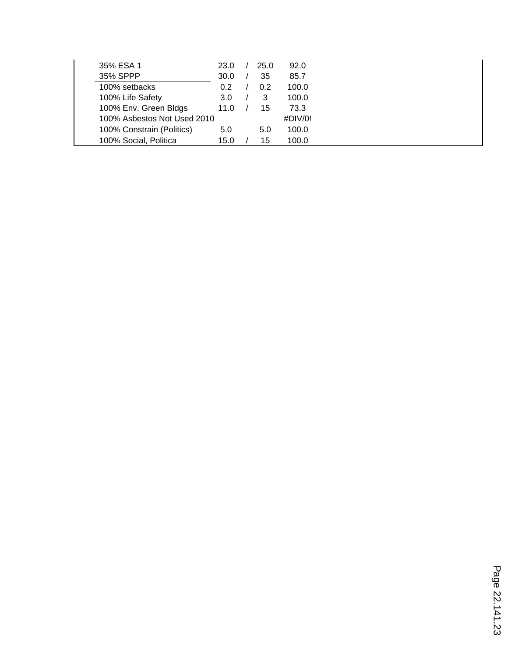| 35% ESA 1                   | 23.0 | 25.0 | 92.0        |
|-----------------------------|------|------|-------------|
| 35% SPPP                    | 30.0 | 35   | 85.7        |
| 100% setbacks               | 0.2  | 0.2  | 100.0       |
| 100% Life Safety            | 3.0  |      | 100.0       |
| 100% Env. Green Bldgs       | 11.0 | 15   | 73.3        |
| 100% Asbestos Not Used 2010 |      |      | $\#$ DIV/0! |
| 100% Constrain (Politics)   | 5.0  | 5.0  | 100.0       |
| 100% Social, Politica       | 15.0 | 15   | 100.0       |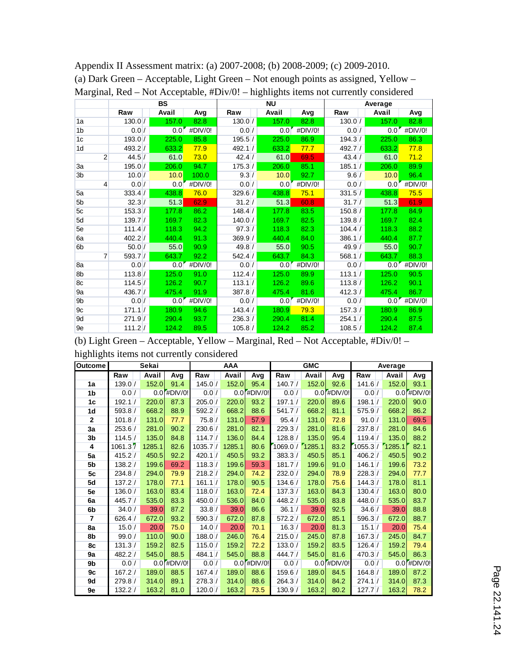|                |           | <b>BS</b> |         |         | <b>NU</b> |         | Average   |       |         |  |  |
|----------------|-----------|-----------|---------|---------|-----------|---------|-----------|-------|---------|--|--|
|                | Raw       | Avail     | Avg     | Raw     | Avail     | Avg     | Raw       | Avail | Avg     |  |  |
| 1a             | $130.0$ / | 157.0     | 82.8    | 130.0 / | 157.0     | 82.8    | $130.0$ / | 157.0 | 82.8    |  |  |
| 1 <sub>b</sub> | 0.0       | 0.0       | #DIV/0! | 0.0 /   | 0.0       | #DIV/0! | 0.0 /     | 0.0   | #DIV/0! |  |  |
| 1c             | $193.0$ / | 225.0     | 85.8    | 195.5/  | 225.0     | 86.9    | 194.3/    | 225.0 | 86.3    |  |  |
| 1d             | 493.2 /   | 633.2     | 77.9    | 492.1/  | 633.2     | 77.7    | 492.7/    | 633.2 | 77.8    |  |  |
| 2              | 44.5/     | 61.0      | 73.0    | 42.4/   | 61.0      | 69.5    | 43.4/     | 61.0  | 71.2    |  |  |
| 3a             | 195.0/    | 206.0     | 94.7    | 175.3/  | 206.0     | 85.1    | 185.1/    | 206.0 | 89.9    |  |  |
| 3b             | 10.0 /    | 10.0      | 100.0   | 9.3/    | 10.0      | 92.7    | 9.6/      | 10.0  | 96.4    |  |  |
| 4              | 0.0/      | 0.0       | #DIV/0! | 0.0 /   | 0.0       | #DIV/0! | 0.0/      | 0.0   | #DIV/0! |  |  |
| 5a             | 333.4/    | 438.8     | 76.0    | 329.6/  | 438.8     | 75.1    | 331.5/    | 438.8 | 75.5    |  |  |
| 5 <sub>b</sub> | 32.3/     | 51.3      | 62.9    | 31.2/   | 51.3      | 60.8    | 31.7/     | 51.3  | 61.9    |  |  |
| 5c             | 153.3/    | 177.8     | 86.2    | 148.4/  | 177.8     | 83.5    | 150.8/    | 177.8 | 84.9    |  |  |
| 5d             | 139.7/    | 169.7     | 82.3    | 140.0   | 169.7     | 82.5    | 139.8/    | 169.7 | 82.4    |  |  |
| 5e             | 111.4/    | 118.3     | 94.2    | 97.3/   | 118.3     | 82.3    | 104.4/    | 118.3 | 88.2    |  |  |
| 6a             | $402.2$ / | 440.4     | 91.3    | 369.9/  | 440.4     | 84.0    | 386.1 /   | 440.4 | 87.7    |  |  |
| 6b             | 50.0 /    | 55.0      | 90.9    | 49.8/   | 55.0      | 90.5    | 49.9/     | 55.0  | 90.7    |  |  |
| 7              | 593.7/    | 643.7     | 92.2    | 542.4/  | 643.7     | 84.3    | 568.1/    | 643.7 | 88.3    |  |  |
| 8a             | 0.0/      | 0.0       | #DIV/0! | 0.0 /   | 0.0       | #DIV/0! | 0.0/      | 0.0   | #DIV/0! |  |  |
| 8b             | 113.8/    | 125.0     | 91.0    | 112.4/  | 125.0     | 89.9    | 113.1/    | 125.0 | 90.5    |  |  |
| 8c             | 114.5/    | 126.2     | 90.7    | 113.1/  | 126.2     | 89.6    | 113.8/    | 126.2 | 90.1    |  |  |
| 9a             | 436.7/    | 475.4     | 91.9    | 387.8/  | 475.4     | 81.6    | 412.3/    | 475.4 | 86.7    |  |  |
| 9 <sub>b</sub> | 0.0/      | 0.0       | #DIV/0! | 0.0 /   | 0.0       | #DIV/0! | 0.0/      | 0.0   | #DIV/0! |  |  |
| 9c             | 171.1/    | 180.9     | 94.6    | 143.4/  | 180.9     | 79.3    | 157.3/    | 180.9 | 86.9    |  |  |
| 9d             | 271.9/    | 290.4     | 93.7    | 236.3/  | 290.4     | 81.4    | 254.1/    | 290.4 | 87.5    |  |  |
| 9e             | 111.2     | 124.2     | 89.5    | 105.8/  | 124.2     | 85.2    | 108.5/    | 124.2 | 87.4    |  |  |

Appendix II Assessment matrix: (a) 2007-2008; (b) 2008-2009; (c) 2009-2010. (a) Dark Green – Acceptable, Light Green – Not enough points as assigned, Yellow – Marginal, Red – Not Acceptable, #Div/0! – highlights items not currently considered

(b) Light Green – Acceptable, Yellow – Marginal, Red – Not Acceptable, #Div/0! – highlights items not currently considered

| <b>Outcome</b> |         | Sekai  |               |           | <b>AAA</b> |               |                 | <b>GMC</b> |               | Average         |       |               |
|----------------|---------|--------|---------------|-----------|------------|---------------|-----------------|------------|---------------|-----------------|-------|---------------|
|                | Raw     | Avail  | Avg           | Raw       | Avail      | Avg           | Raw             | Avail      | Avg           | Raw             | Avail | Avg           |
| 1a             | 139.0 / | 152.0  | 91.4          | 145.0/    | 152.0      | 95.4          | 140.7/          | 152.0      | 92.6          | 141.6/          | 152.0 | 93.1          |
| 1 <sub>b</sub> | 0.0 /   |        | $0.0$ #DIV/0! | 0.0/      |            | $0.0$ #DIV/0! | 0.0 /           |            | $0.0$ #DIV/0! | 0.0/            |       | $0.0$ #DIV/0! |
| 1c             | 192.1/  | 220.0  | 87.3          | $205.0$ / | 220.0      | 93.2          | 197.1/          | 220.0      | 89.6          | 198.1/          | 220.0 | 90.0          |
| 1 <sub>d</sub> | 593.8/  | 668.2  | 88.9          | 592.2     | 668.2      | 88.6          | 541.7           | 668.2      | 81.1          | 575.9/          | 668.2 | 86.2          |
| $\mathbf{2}$   | 101.8   | 131.0  | 77.7          | 75.8/     | 131.0      | 57.9          | 95.4/           | 131.0      | 72.8          | 91.0 /          | 131.0 | 69.5          |
| 3a             | 253.6/  | 281.0  | 90.2          | 230.6/    | 281.0      | 82.1          | 229.3/          | 281.0      | 81.6          | 237.8/          | 281.0 | 84.6          |
| 3b             | 114.5/  | 135.0  | 84.8          | 114.7     | 136.0      | 84.4          | 128.8/          | 135.0      | 95.4          | 119.4/          | 135.0 | 88.2          |
| 4              | 1061.37 | 1285.1 | 82.6          | 1035.7/   | 1285.1     | 80.6          | 1069.0 / 1285.1 |            | 83.2          | 1055.3 / 1285.1 |       | 82.1          |
| 5a             | 415.2/  | 450.5  | 92.2          | $420.1$ / | 450.5      | 93.2          | 383.3/          | 450.5      | 85.1          | 406.2/          | 450.5 | 90.2          |
| 5b             | 138.2   | 199.6  | 69.2          | 118.3/    | 199.6      | 59.3          | 181.7/          | 199.6      | 91.0          | 146.1/          | 199.6 | 73.2          |
| 5с             | 234.8/  | 294.0  | 79.9          | 218.2     | 294.0      | 74.2          | $232.0$ /       | 294.0      | 78.9          | 228.3/          | 294.0 | 77.7          |
| 5d             | 137.2   | 178.0  | 77.1          | 161.1     | 178.0      | 90.5          | 134.6/          | 178.0      | 75.6          | 144.3/          | 178.0 | 81.1          |
| <b>5e</b>      | 136.0/  | 163.0  | 83.4          | 118.0/    | 163.0      | 72.4          | 137.3/          | 163.0      | 84.3          | 130.4/          | 163.0 | 80.0          |
| 6a             | 445.7/  | 535.0  | 83.3          | $450.0$ / | 536.0      | 84.0          | 448.2 /         | 535.0      | 83.8          | 448.0/          | 535.0 | 83.7          |
| 6b             | 34.0 /  | 39.0   | 87.2          | 33.8/     | 39.0       | 86.6          | 36.1/           | 39.0       | 92.5          | 34.6/           | 39.0  | 88.8          |
| $\overline{7}$ | 626.4   | 672.0  | 93.2          | 590.3/    | 672.0      | 87.8          | 572.2/          | 672.0      | 85.1          | 596.3/          | 672.0 | 88.7          |
| 8a             | 15.0/   | 20.0   | 75.0          | $14.0$ /  | 20.0       | 70.1          | 16.3/           | 20.0       | 81.3          | 15.1            | 20.0  | 75.4          |
| 8b             | 99.0/   | 110.0  | 90.0          | $188.0$ / | 246.0      | 76.4          | 215.0/          | 245.0      | 87.8          | 167.3/          | 245.0 | 84.7          |
| 8c             | 131.3/  | 159.2  | 82.5          | $115.0$ / | 159.2      | 72.2          | 133.0/          | 159.2      | 83.5          | 126.4           | 159.2 | 79.4          |
| 9a             | 482.2/  | 545.0  | 88.5          | 484.1/    | 545.0      | 88.8          | 444.7/          | 545.0      | 81.6          | 470.3/          | 545.0 | 86.3          |
| 9b             | 0.0/    |        | $0.0$ #DIV/0! | 0.0/      |            | $0.0$ #DIV/0! | 0.0/            |            | $0.0$ #DIV/0! | 0.0/            |       | $0.0$ #DIV/0! |
| 9с             | 167.2/  | 189.0  | 88.5          | 167.4/    | 189.0      | 88.6          | 159.6/          | 189.0      | 84.5          | 164.8/          | 189.0 | 87.2          |
| 9d             | 279.8/  | 314.0  | 89.1          | 278.3/    | 314.0      | 88.6          | 264.3/          | 314.0      | 84.2          | 274.1           | 314.0 | 87.3          |
| 9e             | 132.2/  | 163.2  | 81.0          | $120.0$ / | 163.2      | 73.5          | 130.9/          | 163.2      | 80.2          | 127.7/          | 163.2 | 78.2          |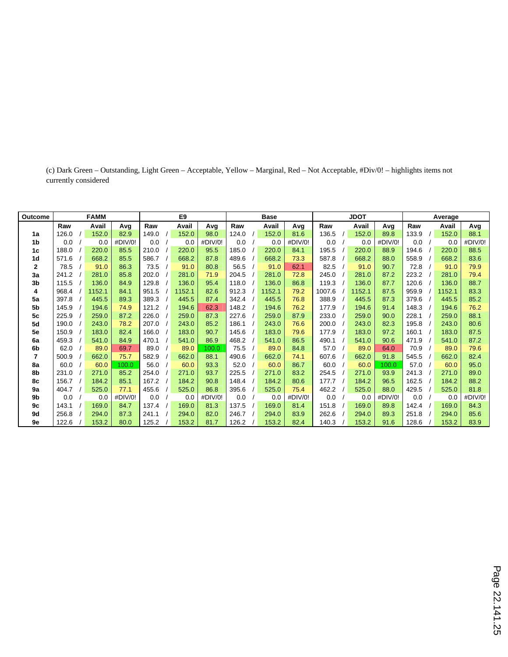(c) Dark Green – Outstanding, Light Green – Acceptable, Yellow – Marginal, Red – Not Acceptable, #Div/0! – highlights items not currently considered

| Outcome | <b>FAMM</b> |        |         |       | E <sub>9</sub> |         |       | <b>Base</b> |         |        | <b>JDOT</b> |         | Average |        |         |
|---------|-------------|--------|---------|-------|----------------|---------|-------|-------------|---------|--------|-------------|---------|---------|--------|---------|
|         | Raw         | Avail  | Avg     | Raw   | Avail          | Avg     | Raw   | Avail       | Avg     | Raw    | Avail       | Avg     | Raw     | Avail  | Avg     |
| 1a      | 126.0       | 152.0  | 82.9    | 149.0 | 152.0          | 98.0    | 124.0 | 152.0       | 81.6    | 136.5  | 152.0       | 89.8    | 133.9   | 152.0  | 88.1    |
| 1b      | 0.0         | 0.0    | #DIV/0! | 0.0   | 0.0            | #DIV/0! | 0.0   | 0.0         | #DIV/0! | 0.0    | 0.0         | #DIV/0! | 0.0     | 0.0    | #DIV/0! |
| 1c      | 188.0       | 220.0  | 85.5    | 210.0 | 220.0          | 95.5    | 185.0 | 220.0       | 84.1    | 195.5  | 220.0       | 88.9    | 194.6   | 220.0  | 88.5    |
| 1d      | 571.6       | 668.2  | 85.5    | 586.7 | 668.2          | 87.8    | 489.6 | 668.2       | 73.3    | 587.8  | 668.2       | 88.0    | 558.9   | 668.2  | 83.6    |
| 2       | 78.5        | 91.0   | 86.3    | 73.5  | 91.0           | 80.8    | 56.5  | 91.0        | 62.1    | 82.5   | 91.0        | 90.7    | 72.8    | 91.0   | 79.9    |
| 3a      | 241.2       | 281.0  | 85.8    | 202.0 | 281.0          | 71.9    | 204.5 | 281.0       | 72.8    | 245.0  | 281.0       | 87.2    | 223.2   | 281.0  | 79.4    |
| 3b      | 115.5       | 136.0  | 84.9    | 129.8 | 136.0          | 95.4    | 118.0 | 136.0       | 86.8    | 119.3  | 136.0       | 87.7    | 120.6   | 136.0  | 88.7    |
| 4       | 968.4       | 1152.1 | 84.1    | 951.5 | 1152.1         | 82.6    | 912.3 | 1152.1      | 79.2    | 1007.6 | 1152.1      | 87.5    | 959.9   | 1152.1 | 83.3    |
| 5a      | 397.8       | 445.5  | 89.3    | 389.3 | 445.5          | 87.4    | 342.4 | 445.5       | 76.8    | 388.9  | 445.5       | 87.3    | 379.6   | 445.5  | 85.2    |
| 5b      | 145.9       | 194.6  | 74.9    | 121.2 | 194.6          | 62.3    | 148.2 | 194.6       | 76.2    | 177.9  | 194.6       | 91.4    | 148.3   | 194.6  | 76.2    |
| 5c      | 225.9       | 259.0  | 87.2    | 226.0 | 259.0          | 87.3    | 227.6 | 259.0       | 87.9    | 233.0  | 259.0       | 90.0    | 228.1   | 259.0  | 88.1    |
| 5d      | 190.0       | 243.0  | 78.2    | 207.0 | 243.0          | 85.2    | 186.1 | 243.0       | 76.6    | 200.0  | 243.0       | 82.3    | 195.8   | 243.0  | 80.6    |
| 5e      | 150.9       | 183.0  | 82.4    | 166.0 | 183.0          | 90.7    | 145.6 | 183.0       | 79.6    | 177.9  | 183.0       | 97.2    | 160.1   | 183.0  | 87.5    |
| 6a      | 459.3       | 541.0  | 84.9    | 470.1 | 541.0          | 86.9    | 468.2 | 541.0       | 86.5    | 490.1  | 541.0       | 90.6    | 471.9   | 541.0  | 87.2    |
| 6b      | 62.0        | 89.0   | 69.7    | 89.0  | 89.0           | 100.0   | 75.5  | 89.0        | 84.8    | 57.0   | 89.0        | 64.0    | 70.9    | 89.0   | 79.6    |
|         | 500.9       | 662.0  | 75.7    | 582.9 | 662.0          | 88.1    | 490.6 | 662.0       | 74.1    | 607.6  | 662.0       | 91.8    | 545.5   | 662.0  | 82.4    |
| 8a      | 60.0        | 60.0   | 100.0   | 56.0  | 60.0           | 93.3    | 52.0  | 60.0        | 86.7    | 60.0   | 60.0        | 100.0   | 57.0    | 60.0   | 95.0    |
| 8b      | 231.0       | 271.0  | 85.2    | 254.0 | 271.0          | 93.7    | 225.5 | 271.0       | 83.2    | 254.5  | 271.0       | 93.9    | 241.3   | 271.0  | 89.0    |
| 8c      | 156.7       | 184.2  | 85.1    | 167.2 | 184.2          | 90.8    | 148.4 | 184.2       | 80.6    | 177.7  | 184.2       | 96.5    | 162.5   | 184.2  | 88.2    |
| 9a      | 404.7       | 525.0  | 77.1    | 455.6 | 525.0          | 86.8    | 395.6 | 525.0       | 75.4    | 462.2  | 525.0       | 88.0    | 429.5   | 525.0  | 81.8    |
| 9b      | 0.0         | 0.0    | #DIV/0! | 0.0   | 0.0            | #DIV/0! | 0.0   | 0.0         | #DIV/0! | 0.0    | 0.0         | #DIV/0! | 0.0     | 0.0    | #DIV/0! |
| 9c      | 143.1       | 169.0  | 84.7    | 137.4 | 169.0          | 81.3    | 137.5 | 169.0       | 81.4    | 151.8  | 169.0       | 89.8    | 142.4   | 169.0  | 84.3    |
| 9d      | 256.8       | 294.0  | 87.3    | 241.1 | 294.0          | 82.0    | 246.7 | 294.0       | 83.9    | 262.6  | 294.0       | 89.3    | 251.8   | 294.0  | 85.6    |
| 9e      | 122.6       | 153.2  | 80.0    | 125.2 | 153.2          | 81.7    | 126.2 | 153.2       | 82.4    | 140.3  | 153.2       | 91.6    | 128.6   | 153.2  | 83.9    |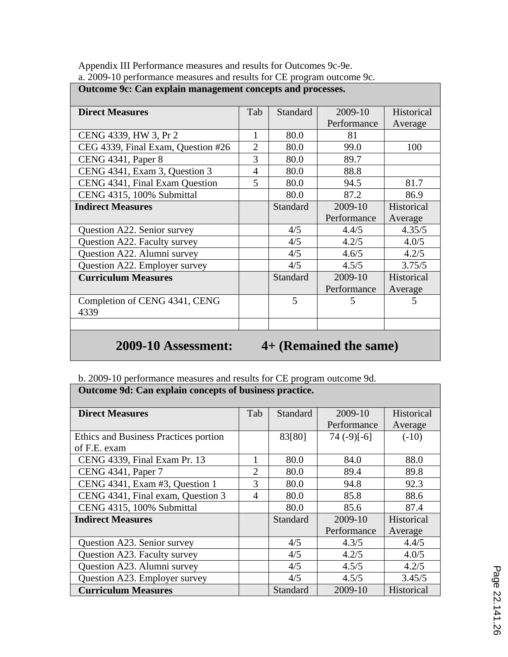| Outcome 9c: Can explain management concepts and processes. |                |          |             |            |  |  |  |  |
|------------------------------------------------------------|----------------|----------|-------------|------------|--|--|--|--|
| <b>Direct Measures</b>                                     | Tab            | Standard | 2009-10     | Historical |  |  |  |  |
|                                                            |                |          | Performance | Average    |  |  |  |  |
| CENG 4339, HW 3, Pr 2                                      | 1              | 80.0     | 81          |            |  |  |  |  |
| CEG 4339, Final Exam, Question #26                         | $\overline{2}$ | 80.0     | 99.0        | 100        |  |  |  |  |
| CENG 4341, Paper 8                                         | 3              | 80.0     | 89.7        |            |  |  |  |  |
| CENG 4341, Exam 3, Question 3                              | 4              | 80.0     | 88.8        |            |  |  |  |  |
| CENG 4341, Final Exam Question                             | 5              | 80.0     | 94.5        | 81.7       |  |  |  |  |
| CENG 4315, 100% Submittal                                  |                | 80.0     | 87.2        | 86.9       |  |  |  |  |
| <b>Indirect Measures</b>                                   |                | Standard | 2009-10     | Historical |  |  |  |  |
|                                                            |                |          | Performance | Average    |  |  |  |  |
| Question A22. Senior survey                                |                | 4/5      | 4.4/5       | 4.35/5     |  |  |  |  |
| Question A22. Faculty survey                               |                | 4/5      | 4.2/5       | 4.0/5      |  |  |  |  |
| Question A22. Alumni survey                                |                | 4/5      | 4.6/5       | 4.2/5      |  |  |  |  |
| Question A22. Employer survey                              |                | 4/5      | 4.5/5       | 3.75/5     |  |  |  |  |
| <b>Curriculum Measures</b>                                 |                | Standard | 2009-10     | Historical |  |  |  |  |
|                                                            |                |          | Performance | Average    |  |  |  |  |
| Completion of CENG 4341, CENG                              |                | 5        | 5           | 5          |  |  |  |  |
| 4339                                                       |                |          |             |            |  |  |  |  |
|                                                            |                |          |             |            |  |  |  |  |
|                                                            |                |          |             |            |  |  |  |  |

Appendix III Performance measures and results for Outcomes 9c-9e. a. 2009-10 performance measures and results for CE program outcome 9c.

**2009-10 Assessment: 4+ (Remained the same)** 

b. 2009-10 performance measures and results for CE program outcome 9d.

# **Outcome 9d: Can explain concepts of business practice.**

| <b>Direct Measures</b>                | Tab            | <b>Standard</b> | 2009-10      | Historical |
|---------------------------------------|----------------|-----------------|--------------|------------|
|                                       |                |                 | Performance  | Average    |
| Ethics and Business Practices portion |                | 83[80]          | $74(-9)[-6]$ | $(-10)$    |
| of F.E. exam                          |                |                 |              |            |
| CENG 4339, Final Exam Pr. 13          |                | 80.0            | 84.0         | 88.0       |
| CENG 4341, Paper 7                    | $\overline{2}$ | 80.0            | 89.4         | 89.8       |
| CENG 4341, Exam #3, Question 1        | 3              | 80.0            | 94.8         | 92.3       |
| CENG 4341, Final exam, Question 3     | 4              | 80.0            | 85.8         | 88.6       |
| CENG 4315, 100% Submittal             |                | 80.0            | 85.6         | 87.4       |
| <b>Indirect Measures</b>              |                | Standard        | 2009-10      | Historical |
|                                       |                |                 | Performance  | Average    |
| Question A23. Senior survey           |                | 4/5             | 4.3/5        | 4.4/5      |
| Question A23. Faculty survey          |                | 4/5             | 4.2/5        | 4.0/5      |
| Question A23. Alumni survey           |                | 4/5             | 4.5/5        | 4.2/5      |
| Question A23. Employer survey         |                | 4/5             | 4.5/5        | 3.45/5     |
| <b>Curriculum Measures</b>            |                | Standard        | 2009-10      | Historical |